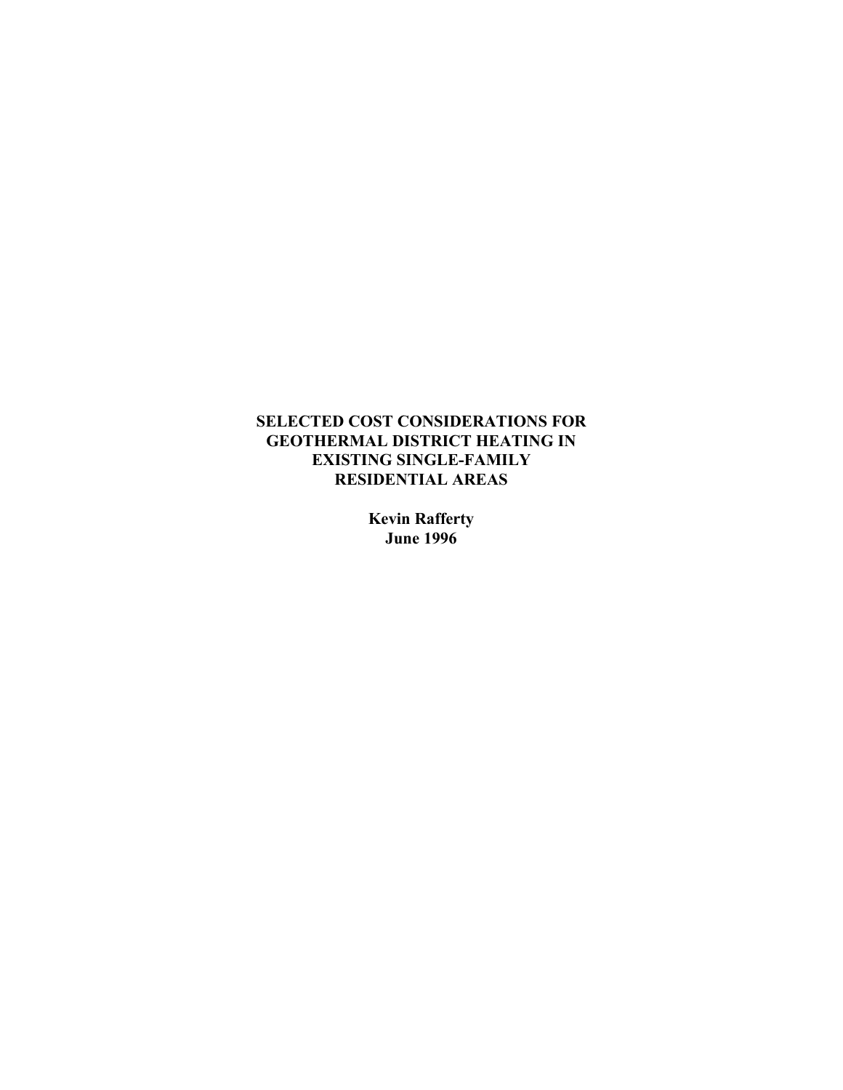# **SELECTED COST CONSIDERATIONS FOR GEOTHERMAL DISTRICT HEATING IN EXISTING SINGLE-FAMILY RESIDENTIAL AREAS**

**Kevin Rafferty June 1996**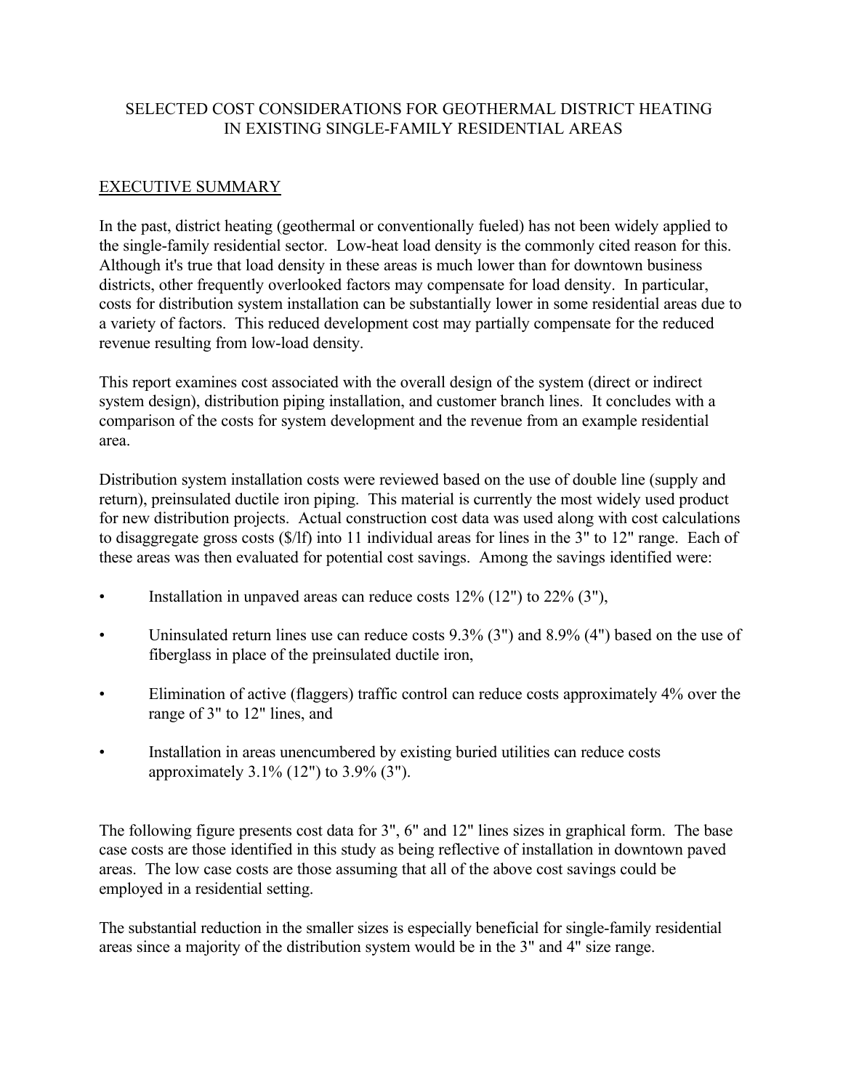# SELECTED COST CONSIDERATIONS FOR GEOTHERMAL DISTRICT HEATING IN EXISTING SINGLE-FAMILY RESIDENTIAL AREAS

# EXECUTIVE SUMMARY

In the past, district heating (geothermal or conventionally fueled) has not been widely applied to the single-family residential sector. Low-heat load density is the commonly cited reason for this. Although it's true that load density in these areas is much lower than for downtown business districts, other frequently overlooked factors may compensate for load density. In particular, costs for distribution system installation can be substantially lower in some residential areas due to a variety of factors. This reduced development cost may partially compensate for the reduced revenue resulting from low-load density.

This report examines cost associated with the overall design of the system (direct or indirect system design), distribution piping installation, and customer branch lines. It concludes with a comparison of the costs for system development and the revenue from an example residential area.

Distribution system installation costs were reviewed based on the use of double line (supply and return), preinsulated ductile iron piping. This material is currently the most widely used product for new distribution projects. Actual construction cost data was used along with cost calculations to disaggregate gross costs (\$/lf) into 11 individual areas for lines in the 3" to 12" range. Each of these areas was then evaluated for potential cost savings. Among the savings identified were:

- Installation in unpaved areas can reduce costs  $12\%$  (12") to  $22\%$  (3"),
- Uninsulated return lines use can reduce costs 9.3% (3") and 8.9% (4") based on the use of fiberglass in place of the preinsulated ductile iron,
- Elimination of active (flaggers) traffic control can reduce costs approximately 4% over the range of 3" to 12" lines, and
- Installation in areas unencumbered by existing buried utilities can reduce costs approximately 3.1% (12") to 3.9% (3").

The following figure presents cost data for 3", 6" and 12" lines sizes in graphical form. The base case costs are those identified in this study as being reflective of installation in downtown paved areas. The low case costs are those assuming that all of the above cost savings could be employed in a residential setting.

The substantial reduction in the smaller sizes is especially beneficial for single-family residential areas since a majority of the distribution system would be in the 3" and 4" size range.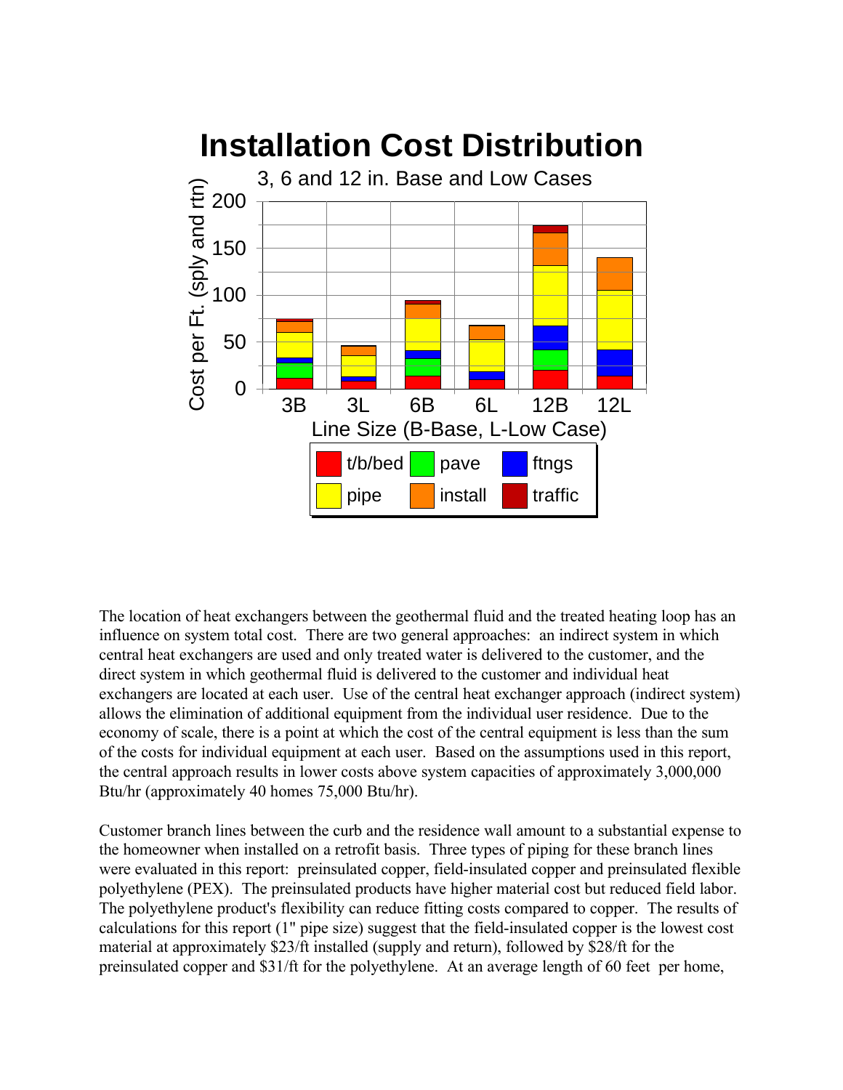

The location of heat exchangers between the geothermal fluid and the treated heating loop has an influence on system total cost. There are two general approaches: an indirect system in which central heat exchangers are used and only treated water is delivered to the customer, and the direct system in which geothermal fluid is delivered to the customer and individual heat exchangers are located at each user. Use of the central heat exchanger approach (indirect system) allows the elimination of additional equipment from the individual user residence. Due to the economy of scale, there is a point at which the cost of the central equipment is less than the sum of the costs for individual equipment at each user. Based on the assumptions used in this report, the central approach results in lower costs above system capacities of approximately 3,000,000 Btu/hr (approximately 40 homes 75,000 Btu/hr).

Customer branch lines between the curb and the residence wall amount to a substantial expense to the homeowner when installed on a retrofit basis. Three types of piping for these branch lines were evaluated in this report: preinsulated copper, field-insulated copper and preinsulated flexible polyethylene (PEX). The preinsulated products have higher material cost but reduced field labor. The polyethylene product's flexibility can reduce fitting costs compared to copper. The results of calculations for this report (1" pipe size) suggest that the field-insulated copper is the lowest cost material at approximately \$23/ft installed (supply and return), followed by \$28/ft for the preinsulated copper and \$31/ft for the polyethylene. At an average length of 60 feet per home,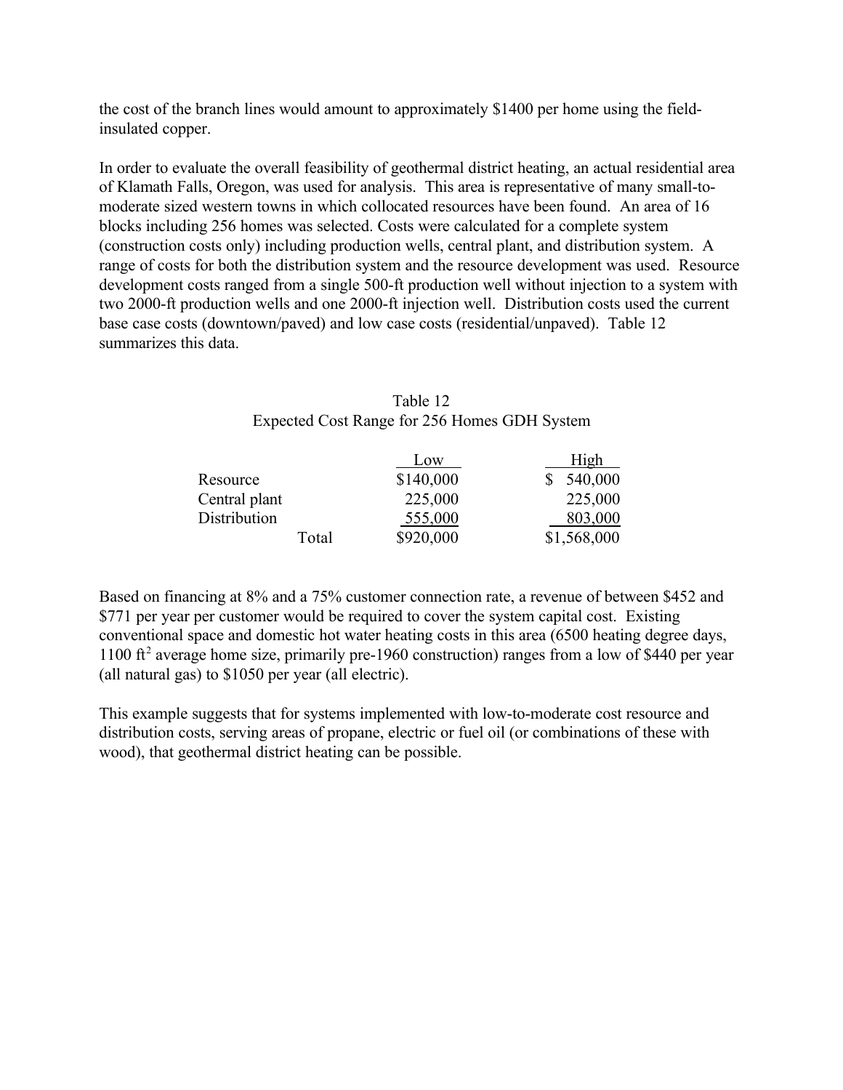the cost of the branch lines would amount to approximately \$1400 per home using the fieldinsulated copper.

In order to evaluate the overall feasibility of geothermal district heating, an actual residential area of Klamath Falls, Oregon, was used for analysis. This area is representative of many small-tomoderate sized western towns in which collocated resources have been found. An area of 16 blocks including 256 homes was selected. Costs were calculated for a complete system (construction costs only) including production wells, central plant, and distribution system. A range of costs for both the distribution system and the resource development was used. Resource development costs ranged from a single 500-ft production well without injection to a system with two 2000-ft production wells and one 2000-ft injection well. Distribution costs used the current base case costs (downtown/paved) and low case costs (residential/unpaved). Table 12 summarizes this data.

# Table 12 Expected Cost Range for 256 Homes GDH System

|               | Low       | High        |
|---------------|-----------|-------------|
| Resource      | \$140,000 | 540,000     |
| Central plant | 225,000   | 225,000     |
| Distribution  | 555,000   | 803,000     |
| Total         | \$920,000 | \$1,568,000 |

Based on financing at 8% and a 75% customer connection rate, a revenue of between \$452 and \$771 per year per customer would be required to cover the system capital cost. Existing conventional space and domestic hot water heating costs in this area (6500 heating degree days, 1100 ft<sup>2</sup> average home size, primarily pre-1960 construction) ranges from a low of \$440 per year (all natural gas) to \$1050 per year (all electric).

This example suggests that for systems implemented with low-to-moderate cost resource and distribution costs, serving areas of propane, electric or fuel oil (or combinations of these with wood), that geothermal district heating can be possible.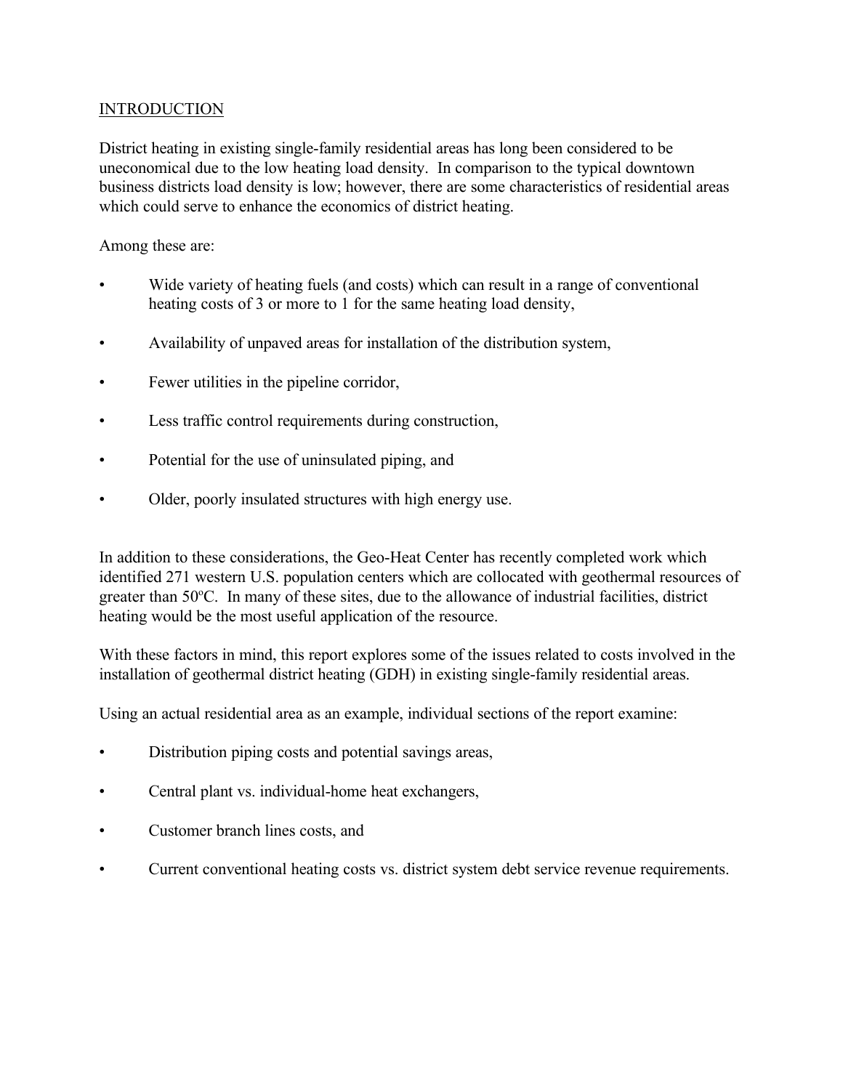## **INTRODUCTION**

District heating in existing single-family residential areas has long been considered to be uneconomical due to the low heating load density. In comparison to the typical downtown business districts load density is low; however, there are some characteristics of residential areas which could serve to enhance the economics of district heating.

Among these are:

- Wide variety of heating fuels (and costs) which can result in a range of conventional heating costs of 3 or more to 1 for the same heating load density,
- Availability of unpaved areas for installation of the distribution system,
- Fewer utilities in the pipeline corridor,
- Less traffic control requirements during construction,
- Potential for the use of uninsulated piping, and
- Older, poorly insulated structures with high energy use.

In addition to these considerations, the Geo-Heat Center has recently completed work which identified 271 western U.S. population centers which are collocated with geothermal resources of greater than 50°C. In many of these sites, due to the allowance of industrial facilities, district heating would be the most useful application of the resource.

With these factors in mind, this report explores some of the issues related to costs involved in the installation of geothermal district heating (GDH) in existing single-family residential areas.

Using an actual residential area as an example, individual sections of the report examine:

- Distribution piping costs and potential savings areas,
- Central plant vs. individual-home heat exchangers,
- Customer branch lines costs, and
- Current conventional heating costs vs. district system debt service revenue requirements.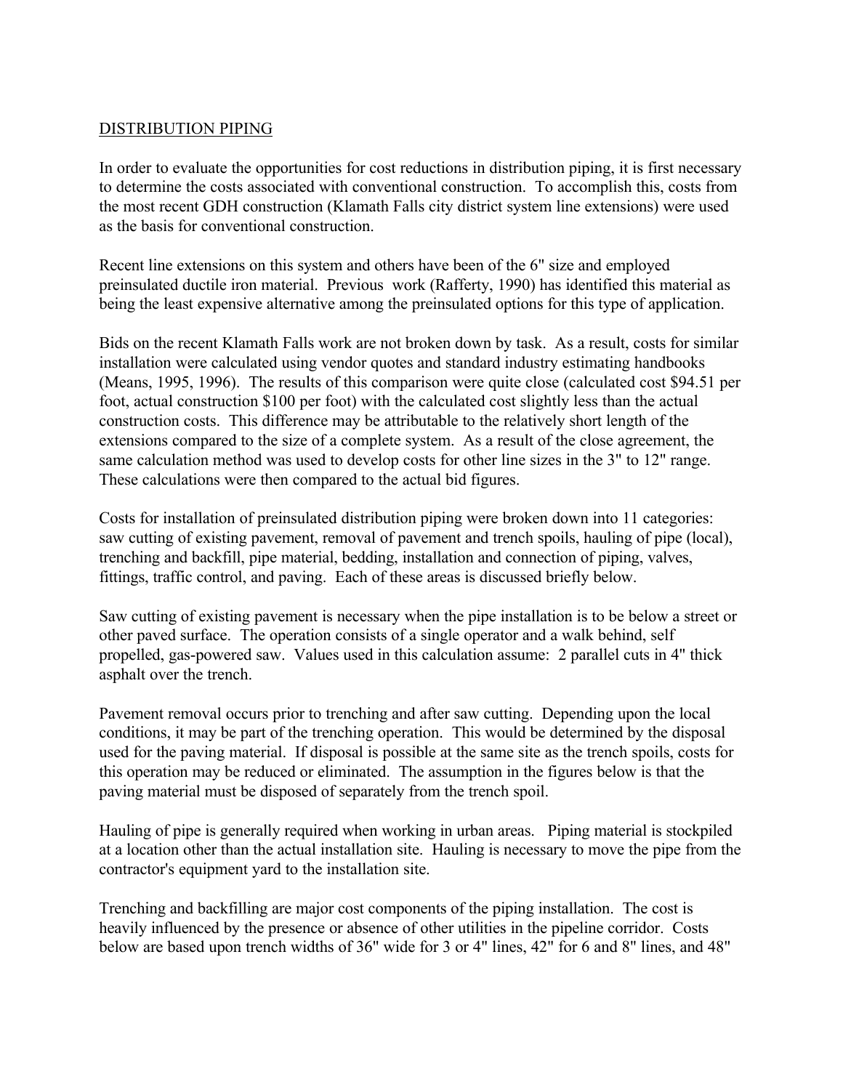### DISTRIBUTION PIPING

In order to evaluate the opportunities for cost reductions in distribution piping, it is first necessary to determine the costs associated with conventional construction. To accomplish this, costs from the most recent GDH construction (Klamath Falls city district system line extensions) were used as the basis for conventional construction.

Recent line extensions on this system and others have been of the 6" size and employed preinsulated ductile iron material. Previous work (Rafferty, 1990) has identified this material as being the least expensive alternative among the preinsulated options for this type of application.

Bids on the recent Klamath Falls work are not broken down by task. As a result, costs for similar installation were calculated using vendor quotes and standard industry estimating handbooks (Means, 1995, 1996). The results of this comparison were quite close (calculated cost \$94.51 per foot, actual construction \$100 per foot) with the calculated cost slightly less than the actual construction costs. This difference may be attributable to the relatively short length of the extensions compared to the size of a complete system. As a result of the close agreement, the same calculation method was used to develop costs for other line sizes in the 3" to 12" range. These calculations were then compared to the actual bid figures.

Costs for installation of preinsulated distribution piping were broken down into 11 categories: saw cutting of existing pavement, removal of pavement and trench spoils, hauling of pipe (local), trenching and backfill, pipe material, bedding, installation and connection of piping, valves, fittings, traffic control, and paving. Each of these areas is discussed briefly below.

Saw cutting of existing pavement is necessary when the pipe installation is to be below a street or other paved surface. The operation consists of a single operator and a walk behind, self propelled, gas-powered saw. Values used in this calculation assume: 2 parallel cuts in 4" thick asphalt over the trench.

Pavement removal occurs prior to trenching and after saw cutting. Depending upon the local conditions, it may be part of the trenching operation. This would be determined by the disposal used for the paving material. If disposal is possible at the same site as the trench spoils, costs for this operation may be reduced or eliminated. The assumption in the figures below is that the paving material must be disposed of separately from the trench spoil.

Hauling of pipe is generally required when working in urban areas. Piping material is stockpiled at a location other than the actual installation site. Hauling is necessary to move the pipe from the contractor's equipment yard to the installation site.

Trenching and backfilling are major cost components of the piping installation. The cost is heavily influenced by the presence or absence of other utilities in the pipeline corridor. Costs below are based upon trench widths of 36" wide for 3 or 4" lines, 42" for 6 and 8" lines, and 48"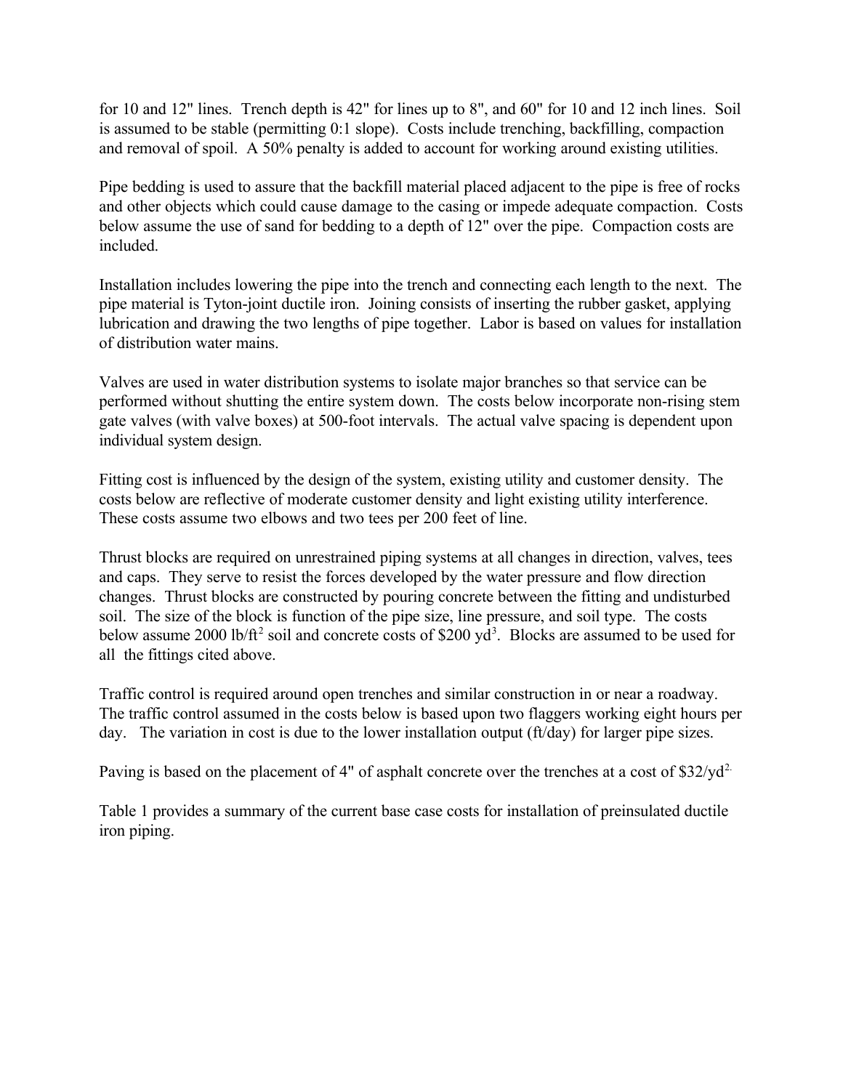for 10 and 12" lines. Trench depth is 42" for lines up to 8", and 60" for 10 and 12 inch lines. Soil is assumed to be stable (permitting 0:1 slope). Costs include trenching, backfilling, compaction and removal of spoil. A 50% penalty is added to account for working around existing utilities.

Pipe bedding is used to assure that the backfill material placed adjacent to the pipe is free of rocks and other objects which could cause damage to the casing or impede adequate compaction. Costs below assume the use of sand for bedding to a depth of 12" over the pipe. Compaction costs are included.

Installation includes lowering the pipe into the trench and connecting each length to the next. The pipe material is Tyton-joint ductile iron. Joining consists of inserting the rubber gasket, applying lubrication and drawing the two lengths of pipe together. Labor is based on values for installation of distribution water mains.

Valves are used in water distribution systems to isolate major branches so that service can be performed without shutting the entire system down. The costs below incorporate non-rising stem gate valves (with valve boxes) at 500-foot intervals. The actual valve spacing is dependent upon individual system design.

Fitting cost is influenced by the design of the system, existing utility and customer density. The costs below are reflective of moderate customer density and light existing utility interference. These costs assume two elbows and two tees per 200 feet of line.

Thrust blocks are required on unrestrained piping systems at all changes in direction, valves, tees and caps. They serve to resist the forces developed by the water pressure and flow direction changes. Thrust blocks are constructed by pouring concrete between the fitting and undisturbed soil. The size of the block is function of the pipe size, line pressure, and soil type. The costs below assume 2000 lb/ft<sup>2</sup> soil and concrete costs of \$200 yd<sup>3</sup>. Blocks are assumed to be used for all the fittings cited above.

Traffic control is required around open trenches and similar construction in or near a roadway. The traffic control assumed in the costs below is based upon two flaggers working eight hours per day. The variation in cost is due to the lower installation output (ft/day) for larger pipe sizes.

Paving is based on the placement of 4" of asphalt concrete over the trenches at a cost of \$32/yd<sup>2</sup>.

Table 1 provides a summary of the current base case costs for installation of preinsulated ductile iron piping.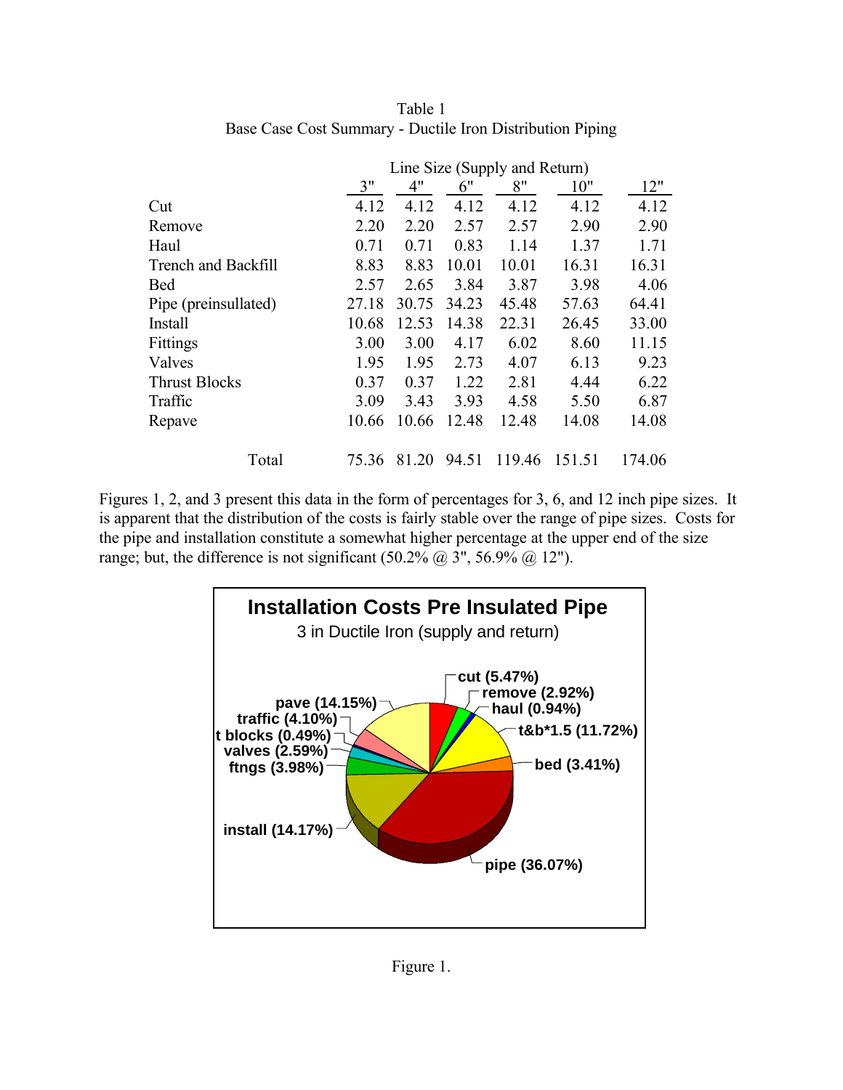|                            | Line Size (Supply and Return) |       |       |        |        |        |
|----------------------------|-------------------------------|-------|-------|--------|--------|--------|
|                            | 3"                            | 4"    | 6"    | 8"     | 10"    | 12"    |
| Cut                        | 4.12                          | 4.12  | 4.12  | 4.12   | 4.12   | 4.12   |
| Remove                     | 2.20                          | 2.20  | 2.57  | 2.57   | 2.90   | 2.90   |
| Haul                       | 0.71                          | 0.71  | 0.83  | 1.14   | 1.37   | 1.71   |
| <b>Trench and Backfill</b> | 8.83                          | 8.83  | 10.01 | 10.01  | 16.31  | 16.31  |
| Bed                        | 2.57                          | 2.65  | 3.84  | 3.87   | 3.98   | 4.06   |
| Pipe (preinsullated)       | 27.18                         | 30.75 | 34.23 | 45.48  | 57.63  | 64.41  |
| Install                    | 10.68                         | 12.53 | 14.38 | 22.31  | 26.45  | 33.00  |
| Fittings                   | 3.00                          | 3.00  | 4.17  | 6.02   | 8.60   | 11.15  |
| Valves                     | 1.95                          | 1.95  | 2.73  | 4.07   | 6.13   | 9.23   |
| <b>Thrust Blocks</b>       | 0.37                          | 0.37  | 1.22  | 2.81   | 4.44   | 6.22   |
| Traffic                    | 3.09                          | 3.43  | 3.93  | 4.58   | 5.50   | 6.87   |
| Repave                     | 10.66                         | 10.66 | 12.48 | 12.48  | 14.08  | 14.08  |
| Total                      | 75.36                         | 81.20 | 94.51 | 119.46 | 151.51 | 174.06 |

Table 1 Base Case Cost Summary - Ductile Iron Distribution Piping

Figures 1, 2, and 3 present this data in the form of percentages for 3, 6, and 12 inch pipe sizes. It is apparent that the distribution of the costs is fairly stable over the range of pipe sizes. Costs for the pipe and installation constitute a somewhat higher percentage at the upper end of the size range; but, the difference is not significant  $(50.2\% \text{ (}a\text{)}\text{)}3\text{''}, 56.9\% \text{ (}a\text{)}12\text{''})$ .

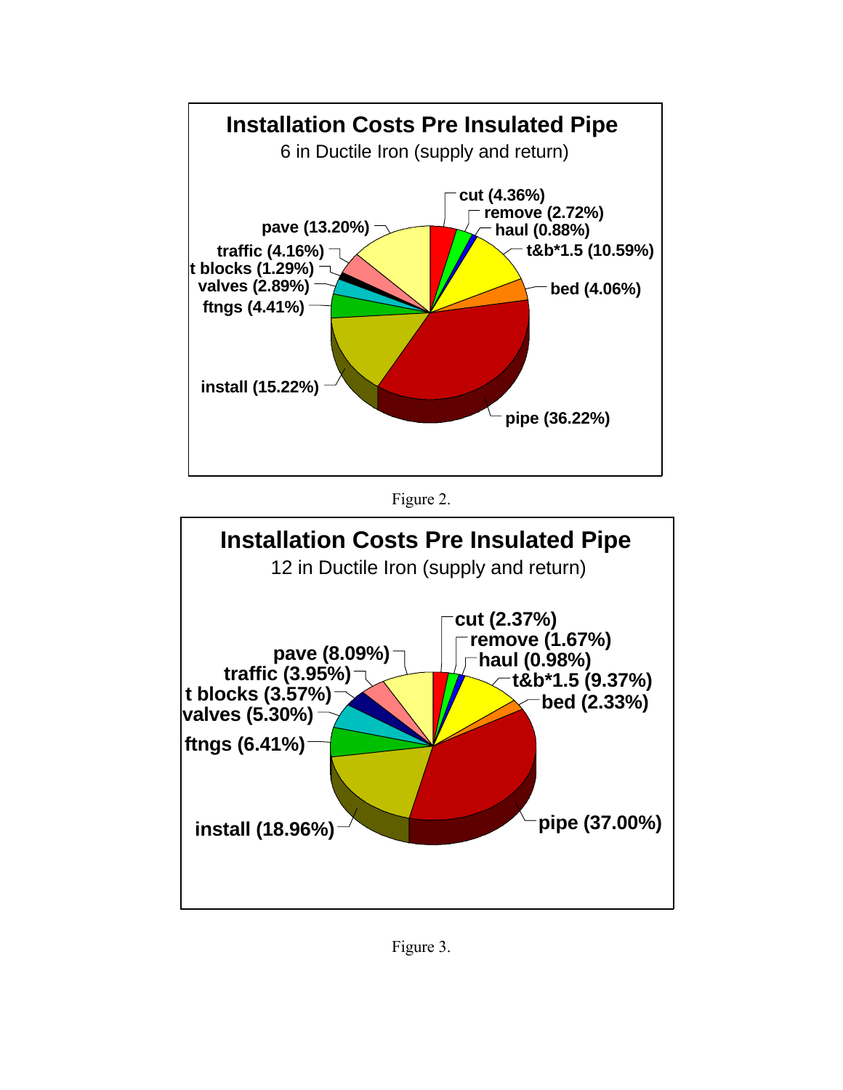





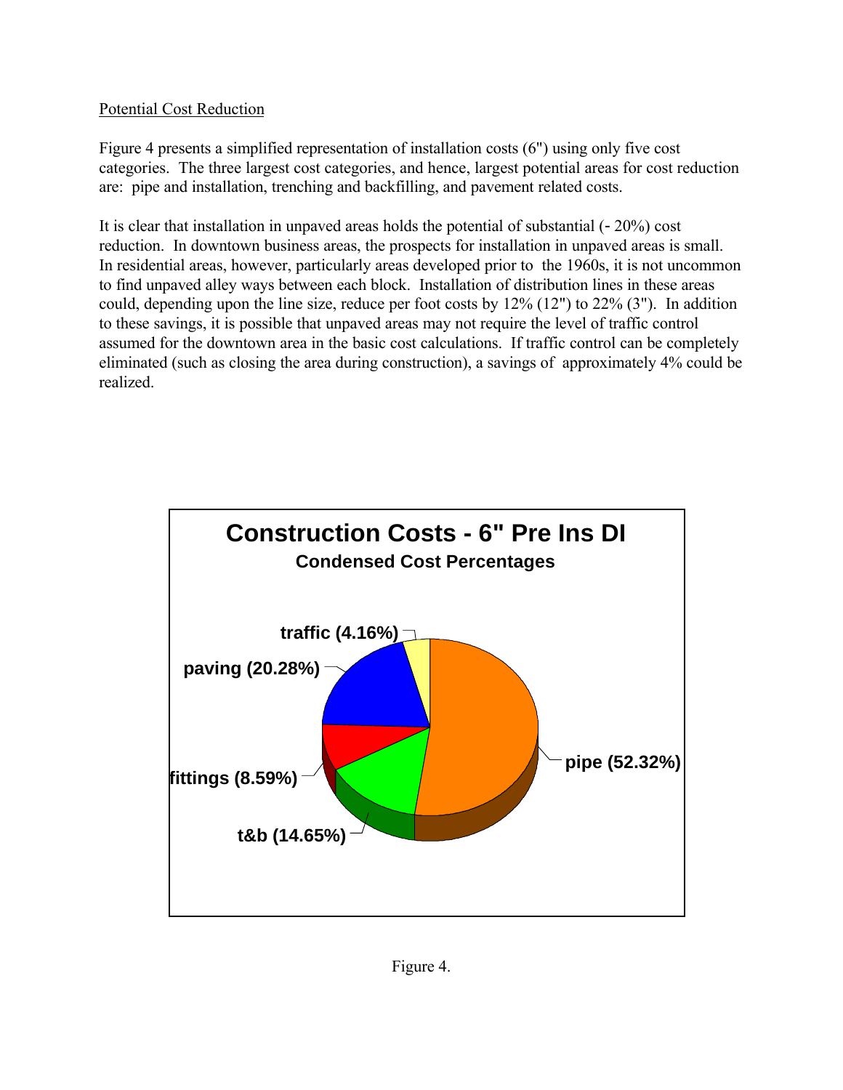# Potential Cost Reduction

Figure 4 presents a simplified representation of installation costs (6") using only five cost categories. The three largest cost categories, and hence, largest potential areas for cost reduction are: pipe and installation, trenching and backfilling, and pavement related costs.

It is clear that installation in unpaved areas holds the potential of substantial  $(-20\%)$  cost reduction. In downtown business areas, the prospects for installation in unpaved areas is small. In residential areas, however, particularly areas developed prior to the 1960s, it is not uncommon to find unpaved alley ways between each block. Installation of distribution lines in these areas could, depending upon the line size, reduce per foot costs by 12% (12") to 22% (3"). In addition to these savings, it is possible that unpaved areas may not require the level of traffic control assumed for the downtown area in the basic cost calculations. If traffic control can be completely eliminated (such as closing the area during construction), a savings of approximately 4% could be realized.

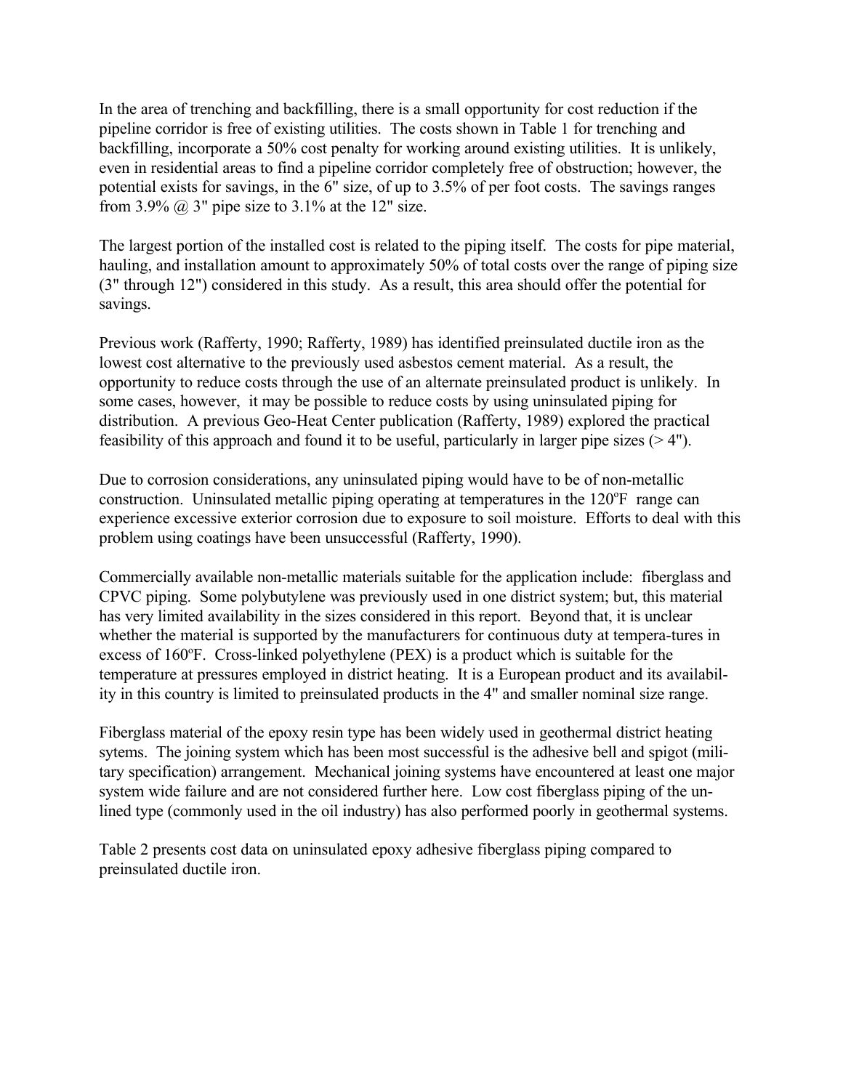In the area of trenching and backfilling, there is a small opportunity for cost reduction if the pipeline corridor is free of existing utilities. The costs shown in Table 1 for trenching and backfilling, incorporate a 50% cost penalty for working around existing utilities. It is unlikely, even in residential areas to find a pipeline corridor completely free of obstruction; however, the potential exists for savings, in the 6" size, of up to 3.5% of per foot costs. The savings ranges from 3.9%  $\omega$  3" pipe size to 3.1% at the 12" size.

The largest portion of the installed cost is related to the piping itself. The costs for pipe material, hauling, and installation amount to approximately 50% of total costs over the range of piping size (3" through 12") considered in this study. As a result, this area should offer the potential for savings.

Previous work (Rafferty, 1990; Rafferty, 1989) has identified preinsulated ductile iron as the lowest cost alternative to the previously used asbestos cement material. As a result, the opportunity to reduce costs through the use of an alternate preinsulated product is unlikely. In some cases, however, it may be possible to reduce costs by using uninsulated piping for distribution. A previous Geo-Heat Center publication (Rafferty, 1989) explored the practical feasibility of this approach and found it to be useful, particularly in larger pipe sizes  $(>4")$ .

Due to corrosion considerations, any uninsulated piping would have to be of non-metallic construction. Uninsulated metallic piping operating at temperatures in the 120°F range can experience excessive exterior corrosion due to exposure to soil moisture. Efforts to deal with this problem using coatings have been unsuccessful (Rafferty, 1990).

Commercially available non-metallic materials suitable for the application include: fiberglass and CPVC piping. Some polybutylene was previously used in one district system; but, this material has very limited availability in the sizes considered in this report. Beyond that, it is unclear whether the material is supported by the manufacturers for continuous duty at tempera-tures in excess of  $160^\circ$ F. Cross-linked polyethylene (PEX) is a product which is suitable for the temperature at pressures employed in district heating. It is a European product and its availability in this country is limited to preinsulated products in the 4" and smaller nominal size range.

Fiberglass material of the epoxy resin type has been widely used in geothermal district heating sytems. The joining system which has been most successful is the adhesive bell and spigot (military specification) arrangement. Mechanical joining systems have encountered at least one major system wide failure and are not considered further here. Low cost fiberglass piping of the unlined type (commonly used in the oil industry) has also performed poorly in geothermal systems.

Table 2 presents cost data on uninsulated epoxy adhesive fiberglass piping compared to preinsulated ductile iron.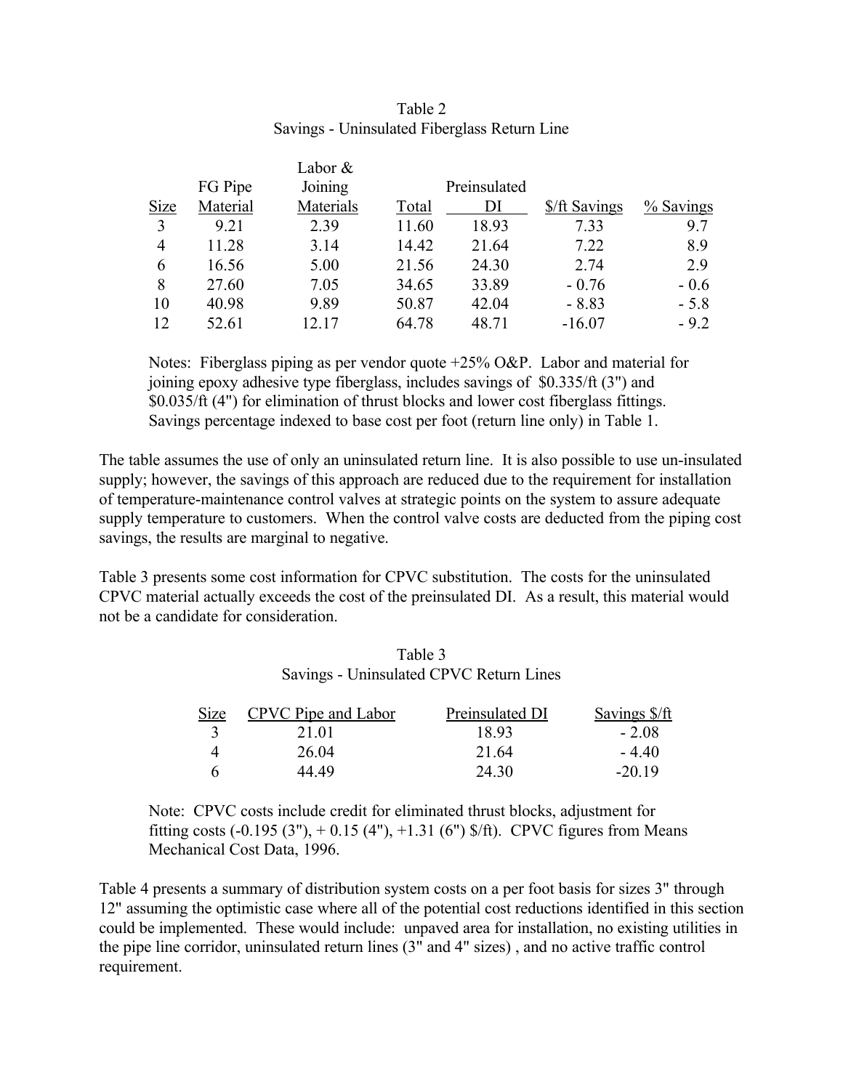|             |          | Labor $&$ |       |              |               |           |
|-------------|----------|-----------|-------|--------------|---------------|-----------|
|             | FG Pipe  | Joining   |       | Preinsulated |               |           |
| <b>Size</b> | Material | Materials | Total | DI           | \$/ft Savings | % Savings |
| 3           | 9.21     | 2.39      | 11.60 | 18.93        | 7.33          | 9.7       |
| 4           | 11.28    | 3.14      | 14.42 | 21.64        | 7.22          | 8.9       |
| 6           | 16.56    | 5.00      | 21.56 | 24.30        | 2.74          | 2.9       |
| 8           | 27.60    | 7.05      | 34.65 | 33.89        | $-0.76$       | $-0.6$    |
| 10          | 40.98    | 9.89      | 50.87 | 42.04        | $-8.83$       | $-5.8$    |
| 12          | 52.61    | 12.17     | 64.78 | 48.71        | $-16.07$      | $-9.2$    |

#### Table 2 Savings - Uninsulated Fiberglass Return Line

Notes: Fiberglass piping as per vendor quote +25% O&P. Labor and material for joining epoxy adhesive type fiberglass, includes savings of \$0.335/ft (3") and \$0.035/ft (4") for elimination of thrust blocks and lower cost fiberglass fittings. Savings percentage indexed to base cost per foot (return line only) in Table 1.

The table assumes the use of only an uninsulated return line. It is also possible to use un-insulated supply; however, the savings of this approach are reduced due to the requirement for installation of temperature-maintenance control valves at strategic points on the system to assure adequate supply temperature to customers. When the control valve costs are deducted from the piping cost savings, the results are marginal to negative.

Table 3 presents some cost information for CPVC substitution. The costs for the uninsulated CPVC material actually exceeds the cost of the preinsulated DI. As a result, this material would not be a candidate for consideration.

| Table 3                                 |  |
|-----------------------------------------|--|
| Savings - Uninsulated CPVC Return Lines |  |

| <b>Size</b> | CPVC Pipe and Labor | Preinsulated DI | Savings \$/ft |
|-------------|---------------------|-----------------|---------------|
|             | 21.01               | 18 93           | - 208         |
|             | 26.04               | 21.64           | $-440$        |
| h           | 44 49               | 24 30           | $-2019$       |

Note: CPVC costs include credit for eliminated thrust blocks, adjustment for fitting costs  $(-0.195 (3'')$ ,  $+ 0.15 (4'')$ ,  $+1.31 (6'')$  \$/ft). CPVC figures from Means Mechanical Cost Data, 1996.

Table 4 presents a summary of distribution system costs on a per foot basis for sizes 3" through 12" assuming the optimistic case where all of the potential cost reductions identified in this section could be implemented. These would include: unpaved area for installation, no existing utilities in the pipe line corridor, uninsulated return lines (3" and 4" sizes) , and no active traffic control requirement.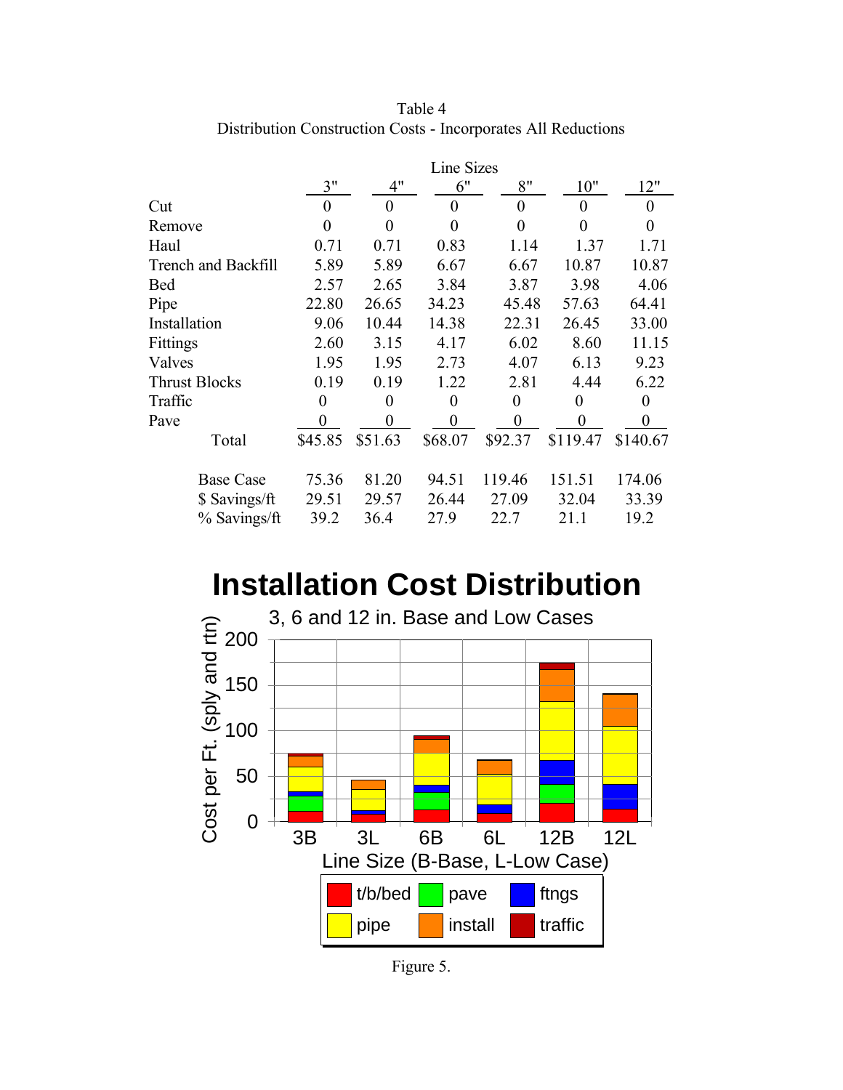|                            | Line Sizes     |                  |                |                  |          |                |
|----------------------------|----------------|------------------|----------------|------------------|----------|----------------|
|                            | 3"             | 4"               | 6"             | 8"               | 10"      | 12"            |
| Cut                        | $\theta$       | 0                | 0              | $\overline{0}$   | 0        | $\theta$       |
| Remove                     | 0              | 0                | 0              | $\theta$         | 0        | $\Omega$       |
| Haul                       | 0.71           | 0.71             | 0.83           | 1.14             | 1.37     | 1.71           |
| <b>Trench and Backfill</b> | 5.89           | 5.89             | 6.67           | 6.67             | 10.87    | 10.87          |
| <b>Bed</b>                 | 2.57           | 2.65             | 3.84           | 3.87             | 3.98     | 4.06           |
| Pipe                       | 22.80          | 26.65            | 34.23          | 45.48            | 57.63    | 64.41          |
| Installation               | 9.06           | 10.44            | 14.38          | 22.31            | 26.45    | 33.00          |
| Fittings                   | 2.60           | 3.15             | 4.17           | 6.02             | 8.60     | 11.15          |
| Valves                     | 1.95           | 1.95             | 2.73           | 4.07             | 6.13     | 9.23           |
| <b>Thrust Blocks</b>       | 0.19           | 0.19             | 1.22           | 2.81             | 4.44     | 6.22           |
| Traffic                    | $\overline{0}$ | $\boldsymbol{0}$ | $\overline{0}$ | $\boldsymbol{0}$ | $\theta$ | $\overline{0}$ |
| Pave                       | 0              | $\theta$         | 0              | 0                | $\theta$ | $\overline{0}$ |
| Total                      | \$45.85        | \$51.63          | \$68.07        | \$92.37          | \$119.47 | \$140.67       |
| <b>Base Case</b>           | 75.36          | 81.20            | 94.51          | 119.46           | 151.51   | 174.06         |
| \$ Savings/ft              | 29.51          | 29.57            | 26.44          | 27.09            | 32.04    | 33.39          |
| % Savings/ft               | 39.2           | 36.4             | 27.9           | 22.7             | 21.1     | 19.2           |

Table 4 Distribution Construction Costs - Incorporates All Reductions

# **Installation Cost Distribution**



Figure 5.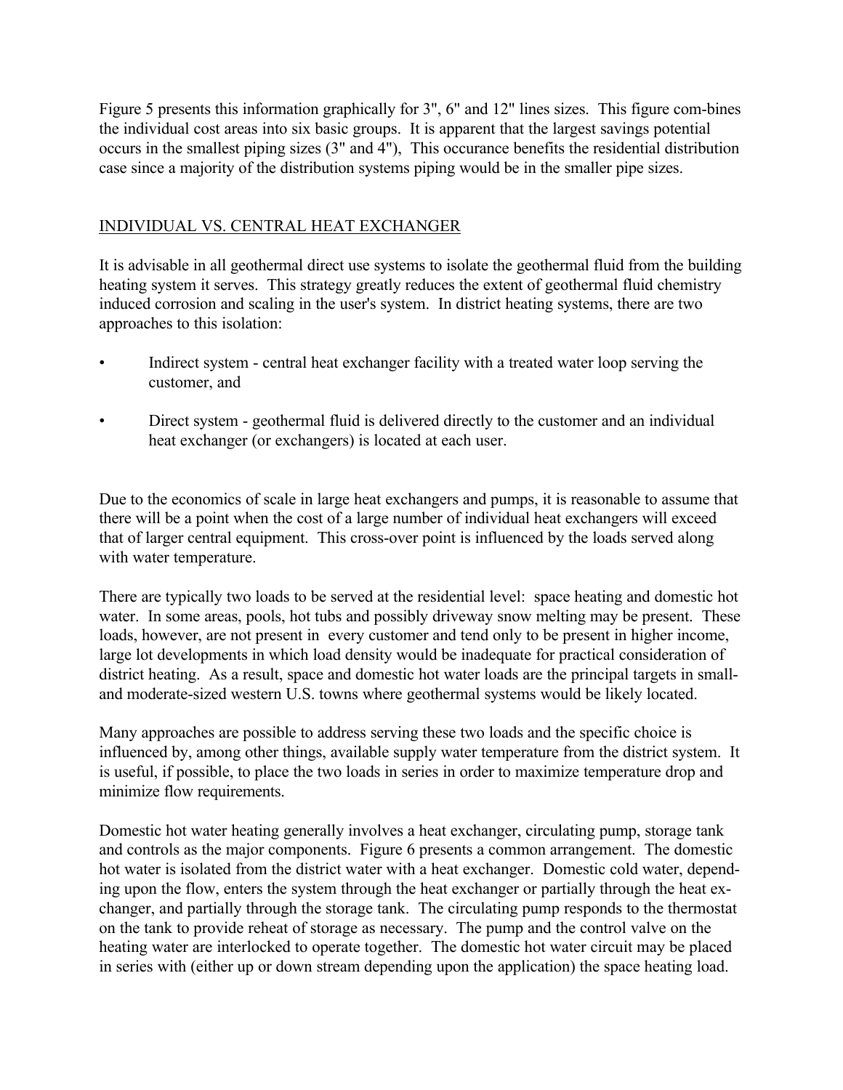Figure 5 presents this information graphically for 3", 6" and 12" lines sizes. This figure com-bines the individual cost areas into six basic groups. It is apparent that the largest savings potential occurs in the smallest piping sizes (3" and 4"), This occurance benefits the residential distribution case since a majority of the distribution systems piping would be in the smaller pipe sizes.

### INDIVIDUAL VS. CENTRAL HEAT EXCHANGER

It is advisable in all geothermal direct use systems to isolate the geothermal fluid from the building heating system it serves. This strategy greatly reduces the extent of geothermal fluid chemistry induced corrosion and scaling in the user's system. In district heating systems, there are two approaches to this isolation:

- Indirect system central heat exchanger facility with a treated water loop serving the customer, and
- Direct system geothermal fluid is delivered directly to the customer and an individual heat exchanger (or exchangers) is located at each user.

Due to the economics of scale in large heat exchangers and pumps, it is reasonable to assume that there will be a point when the cost of a large number of individual heat exchangers will exceed that of larger central equipment. This cross-over point is influenced by the loads served along with water temperature.

There are typically two loads to be served at the residential level: space heating and domestic hot water. In some areas, pools, hot tubs and possibly driveway snow melting may be present. These loads, however, are not present in every customer and tend only to be present in higher income, large lot developments in which load density would be inadequate for practical consideration of district heating. As a result, space and domestic hot water loads are the principal targets in smalland moderate-sized western U.S. towns where geothermal systems would be likely located.

Many approaches are possible to address serving these two loads and the specific choice is influenced by, among other things, available supply water temperature from the district system. It is useful, if possible, to place the two loads in series in order to maximize temperature drop and minimize flow requirements.

Domestic hot water heating generally involves a heat exchanger, circulating pump, storage tank and controls as the major components. Figure 6 presents a common arrangement. The domestic hot water is isolated from the district water with a heat exchanger. Domestic cold water, depending upon the flow, enters the system through the heat exchanger or partially through the heat exchanger, and partially through the storage tank. The circulating pump responds to the thermostat on the tank to provide reheat of storage as necessary. The pump and the control valve on the heating water are interlocked to operate together. The domestic hot water circuit may be placed in series with (either up or down stream depending upon the application) the space heating load.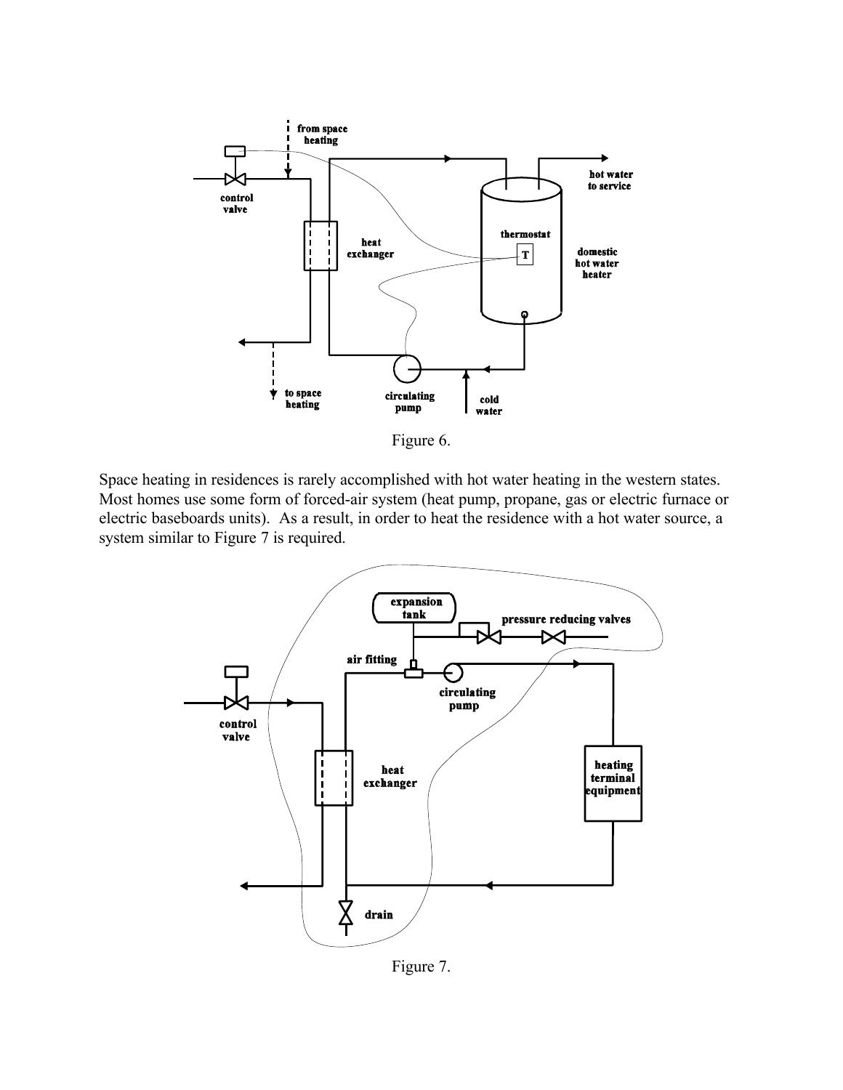

Figure 6.

Space heating in residences is rarely accomplished with hot water heating in the western states. Most homes use some form of forced-air system (heat pump, propane, gas or electric furnace or electric baseboards units). As a result, in order to heat the residence with a hot water source, a system similar to Figure 7 is required.



Figure 7.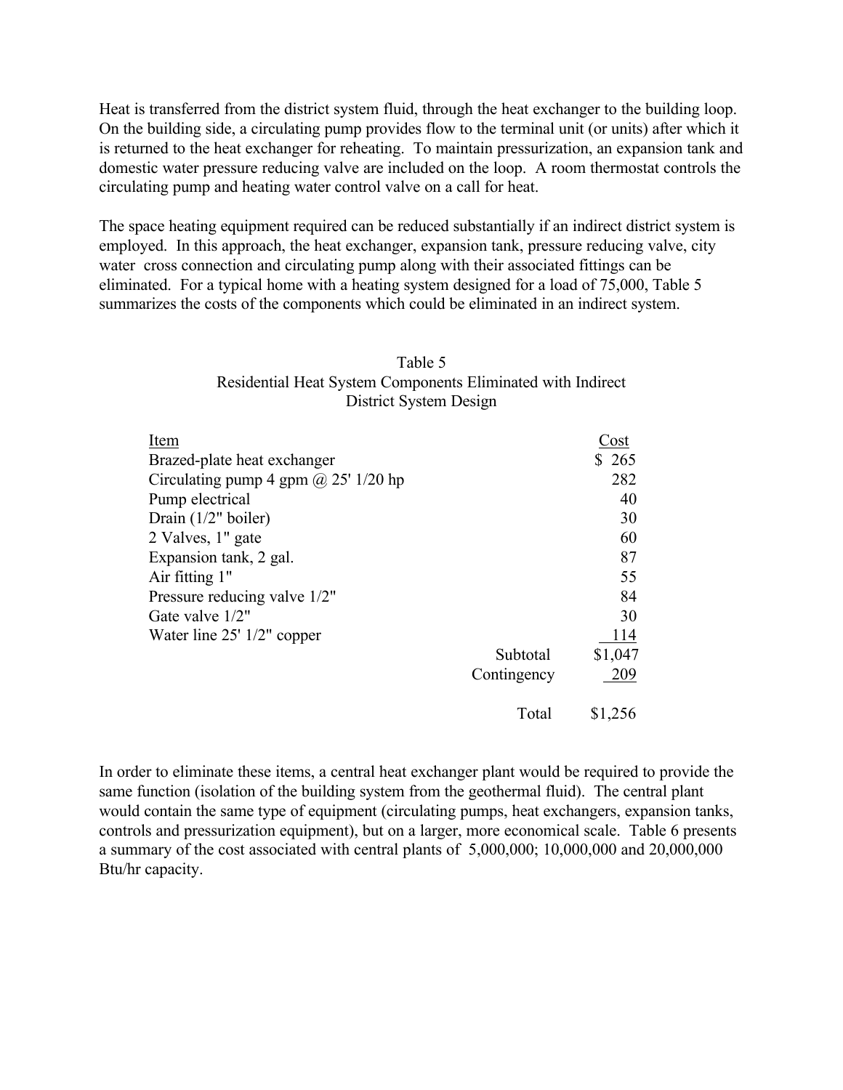Heat is transferred from the district system fluid, through the heat exchanger to the building loop. On the building side, a circulating pump provides flow to the terminal unit (or units) after which it is returned to the heat exchanger for reheating. To maintain pressurization, an expansion tank and domestic water pressure reducing valve are included on the loop. A room thermostat controls the circulating pump and heating water control valve on a call for heat.

The space heating equipment required can be reduced substantially if an indirect district system is employed. In this approach, the heat exchanger, expansion tank, pressure reducing valve, city water cross connection and circulating pump along with their associated fittings can be eliminated. For a typical home with a heating system designed for a load of 75,000, Table 5 summarizes the costs of the components which could be eliminated in an indirect system.

| Table 5                                                     |
|-------------------------------------------------------------|
| Residential Heat System Components Eliminated with Indirect |
| District System Design                                      |

| Item                                        |             | Cost      |
|---------------------------------------------|-------------|-----------|
| Brazed-plate heat exchanger                 |             | \$<br>265 |
| Circulating pump 4 gpm $\omega$ 25' 1/20 hp |             | 282       |
| Pump electrical                             |             | 40        |
| Drain $(1/2"$ boiler)                       |             | 30        |
| 2 Valves, 1" gate                           |             | 60        |
| Expansion tank, 2 gal.                      |             | 87        |
| Air fitting 1"                              |             | 55        |
| Pressure reducing valve 1/2"                |             | 84        |
| Gate valve 1/2"                             |             | 30        |
| Water line $25'$ 1/2" copper                |             | 114       |
|                                             | Subtotal    | \$1,047   |
|                                             | Contingency | 209       |
|                                             | Total       | \$1,256   |

In order to eliminate these items, a central heat exchanger plant would be required to provide the same function (isolation of the building system from the geothermal fluid). The central plant would contain the same type of equipment (circulating pumps, heat exchangers, expansion tanks, controls and pressurization equipment), but on a larger, more economical scale. Table 6 presents a summary of the cost associated with central plants of 5,000,000; 10,000,000 and 20,000,000 Btu/hr capacity.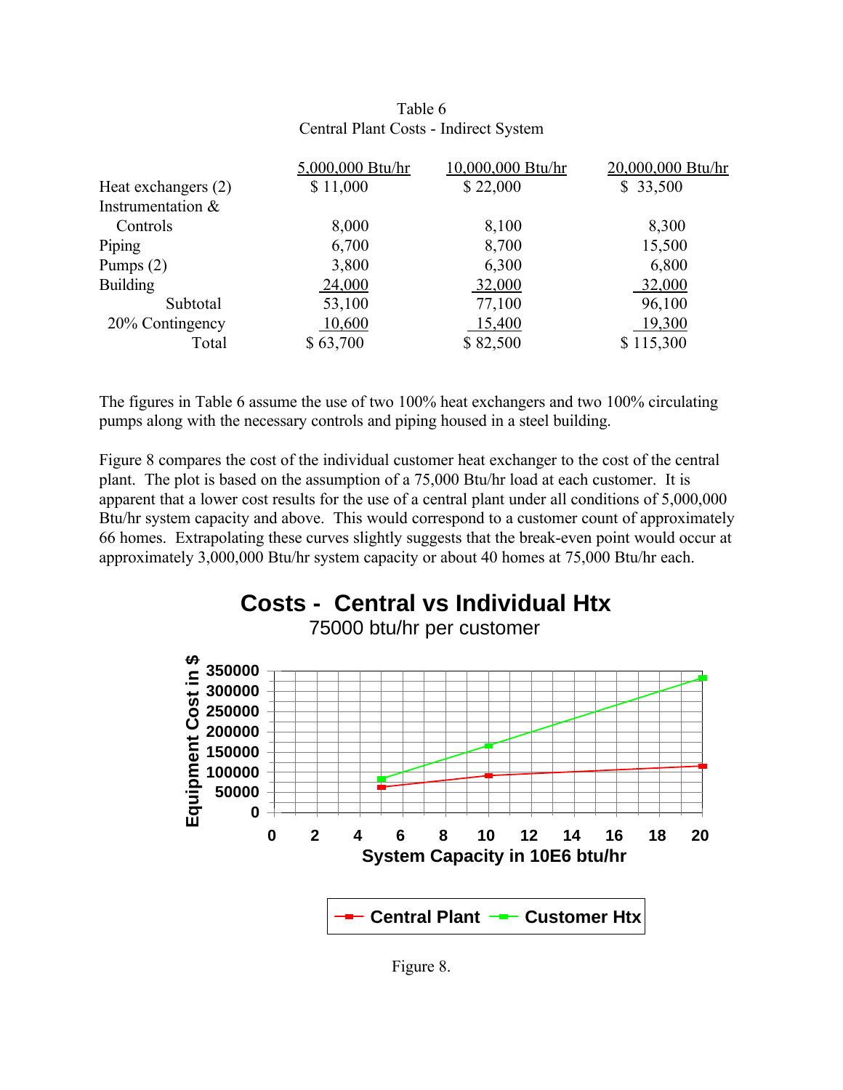| Table 6                               |
|---------------------------------------|
| Central Plant Costs - Indirect System |

|                      | 5,000,000 Btu/hr | 10,000,000 Btu/hr | 20,000,000 Btu/hr |
|----------------------|------------------|-------------------|-------------------|
| Heat exchangers (2)  | \$11,000         | \$22,000          | \$33,500          |
| Instrumentation $\&$ |                  |                   |                   |
| Controls             | 8,000            | 8,100             | 8,300             |
| Piping               | 6,700            | 8,700             | 15,500            |
| Pumps $(2)$          | 3,800            | 6,300             | 6,800             |
| <b>Building</b>      | 24,000           | 32,000            | 32,000            |
| Subtotal             | 53,100           | 77,100            | 96,100            |
| 20% Contingency      | 10,600           | 15,400            | 19,300            |
| Total                | \$63,700         | \$82,500          | \$115,300         |

The figures in Table 6 assume the use of two 100% heat exchangers and two 100% circulating pumps along with the necessary controls and piping housed in a steel building.

Figure 8 compares the cost of the individual customer heat exchanger to the cost of the central plant. The plot is based on the assumption of a 75,000 Btu/hr load at each customer. It is apparent that a lower cost results for the use of a central plant under all conditions of 5,000,000 Btu/hr system capacity and above. This would correspond to a customer count of approximately 66 homes. Extrapolating these curves slightly suggests that the break-even point would occur at approximately 3,000,000 Btu/hr system capacity or about 40 homes at 75,000 Btu/hr each.



Figure 8.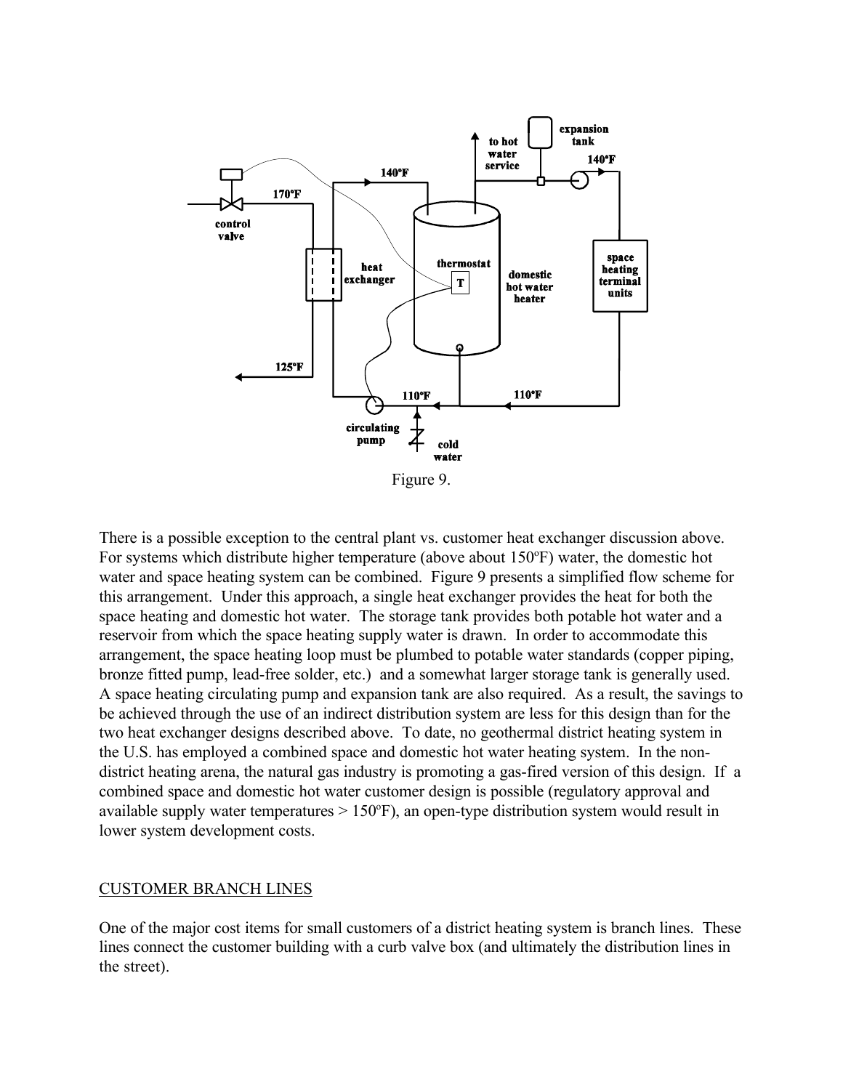

Figure 9.

There is a possible exception to the central plant vs. customer heat exchanger discussion above. For systems which distribute higher temperature (above about  $150^{\circ}$ F) water, the domestic hot water and space heating system can be combined. Figure 9 presents a simplified flow scheme for this arrangement. Under this approach, a single heat exchanger provides the heat for both the space heating and domestic hot water. The storage tank provides both potable hot water and a reservoir from which the space heating supply water is drawn. In order to accommodate this arrangement, the space heating loop must be plumbed to potable water standards (copper piping, bronze fitted pump, lead-free solder, etc.) and a somewhat larger storage tank is generally used. A space heating circulating pump and expansion tank are also required. As a result, the savings to be achieved through the use of an indirect distribution system are less for this design than for the two heat exchanger designs described above. To date, no geothermal district heating system in the U.S. has employed a combined space and domestic hot water heating system. In the nondistrict heating arena, the natural gas industry is promoting a gas-fired version of this design. If a combined space and domestic hot water customer design is possible (regulatory approval and available supply water temperatures  $> 150^\circ F$ ), an open-type distribution system would result in lower system development costs.

#### CUSTOMER BRANCH LINES

One of the major cost items for small customers of a district heating system is branch lines. These lines connect the customer building with a curb valve box (and ultimately the distribution lines in the street).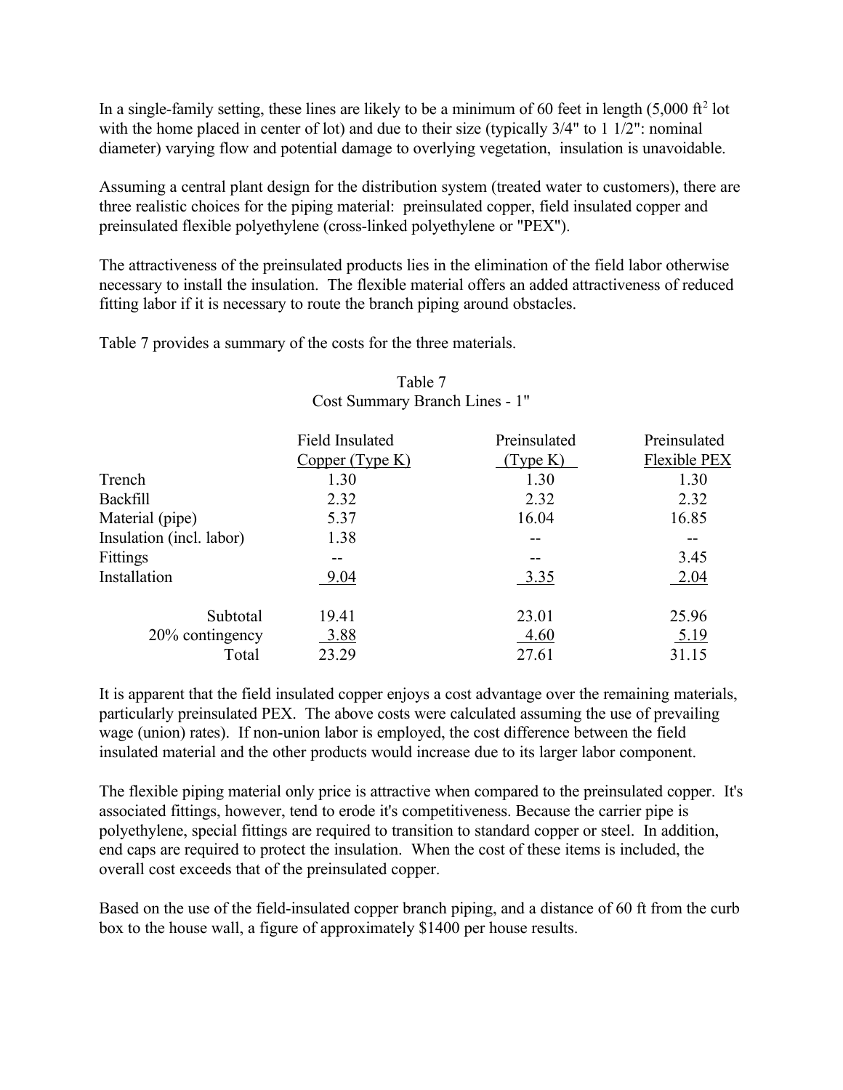In a single-family setting, these lines are likely to be a minimum of 60 feet in length  $(5,000 \text{ ft}^2 \text{ lot})$ with the home placed in center of lot) and due to their size (typically  $3/4$ " to 1  $1/2$ ": nominal diameter) varying flow and potential damage to overlying vegetation, insulation is unavoidable.

Assuming a central plant design for the distribution system (treated water to customers), there are three realistic choices for the piping material: preinsulated copper, field insulated copper and preinsulated flexible polyethylene (cross-linked polyethylene or "PEX").

The attractiveness of the preinsulated products lies in the elimination of the field labor otherwise necessary to install the insulation. The flexible material offers an added attractiveness of reduced fitting labor if it is necessary to route the branch piping around obstacles.

Table 7 provides a summary of the costs for the three materials.

|                          | <b>Field Insulated</b><br>Copper (Type K) | Preinsulated<br>Type K) | Preinsulated<br>Flexible PEX |
|--------------------------|-------------------------------------------|-------------------------|------------------------------|
| Trench                   | 1.30                                      | 1.30                    | 1.30                         |
| <b>Backfill</b>          | 2.32                                      | 2.32                    | 2.32                         |
| Material (pipe)          | 5.37                                      | 16.04                   | 16.85                        |
| Insulation (incl. labor) | 1.38                                      |                         | $- -$                        |
| Fittings                 |                                           | --                      | 3.45                         |
| Installation             | 9.04                                      | 3.35                    | 2.04                         |
| Subtotal                 | 19.41                                     | 23.01                   | 25.96                        |
| 20% contingency          | 3.88                                      | 4.60                    | 5.19                         |
| Total                    | 23.29                                     | 27.61                   | 31.15                        |

# Table 7 Cost Summary Branch Lines - 1"

It is apparent that the field insulated copper enjoys a cost advantage over the remaining materials, particularly preinsulated PEX. The above costs were calculated assuming the use of prevailing wage (union) rates). If non-union labor is employed, the cost difference between the field insulated material and the other products would increase due to its larger labor component.

The flexible piping material only price is attractive when compared to the preinsulated copper. It's associated fittings, however, tend to erode it's competitiveness. Because the carrier pipe is polyethylene, special fittings are required to transition to standard copper or steel. In addition, end caps are required to protect the insulation. When the cost of these items is included, the overall cost exceeds that of the preinsulated copper.

Based on the use of the field-insulated copper branch piping, and a distance of 60 ft from the curb box to the house wall, a figure of approximately \$1400 per house results.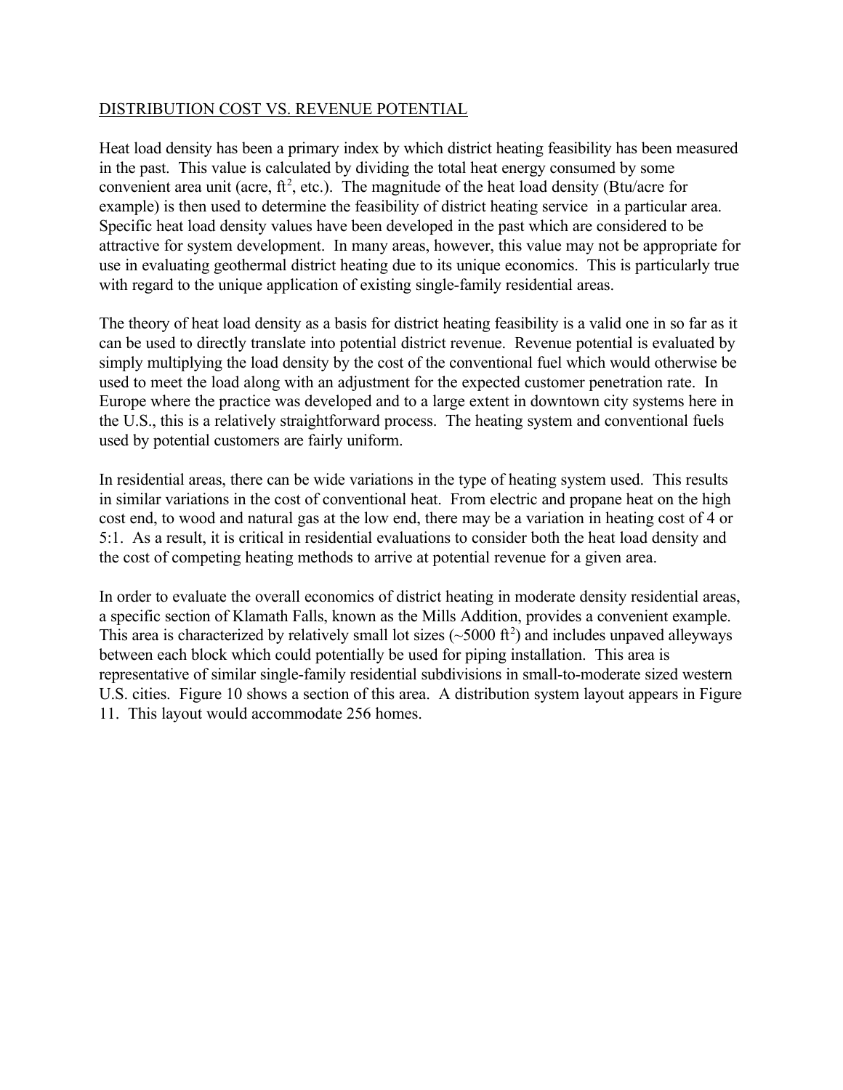## DISTRIBUTION COST VS. REVENUE POTENTIAL

Heat load density has been a primary index by which district heating feasibility has been measured in the past. This value is calculated by dividing the total heat energy consumed by some convenient area unit (acre,  $ft^2$ , etc.). The magnitude of the heat load density (Btu/acre for example) is then used to determine the feasibility of district heating service in a particular area. Specific heat load density values have been developed in the past which are considered to be attractive for system development. In many areas, however, this value may not be appropriate for use in evaluating geothermal district heating due to its unique economics. This is particularly true with regard to the unique application of existing single-family residential areas.

The theory of heat load density as a basis for district heating feasibility is a valid one in so far as it can be used to directly translate into potential district revenue. Revenue potential is evaluated by simply multiplying the load density by the cost of the conventional fuel which would otherwise be used to meet the load along with an adjustment for the expected customer penetration rate. In Europe where the practice was developed and to a large extent in downtown city systems here in the U.S., this is a relatively straightforward process. The heating system and conventional fuels used by potential customers are fairly uniform.

In residential areas, there can be wide variations in the type of heating system used. This results in similar variations in the cost of conventional heat. From electric and propane heat on the high cost end, to wood and natural gas at the low end, there may be a variation in heating cost of 4 or 5:1. As a result, it is critical in residential evaluations to consider both the heat load density and the cost of competing heating methods to arrive at potential revenue for a given area.

In order to evaluate the overall economics of district heating in moderate density residential areas, a specific section of Klamath Falls, known as the Mills Addition, provides a convenient example. This area is characterized by relatively small lot sizes  $(\sim 5000 \text{ ft}^2)$  and includes unpaved alleyways between each block which could potentially be used for piping installation. This area is representative of similar single-family residential subdivisions in small-to-moderate sized western U.S. cities. Figure 10 shows a section of this area. A distribution system layout appears in Figure 11. This layout would accommodate 256 homes.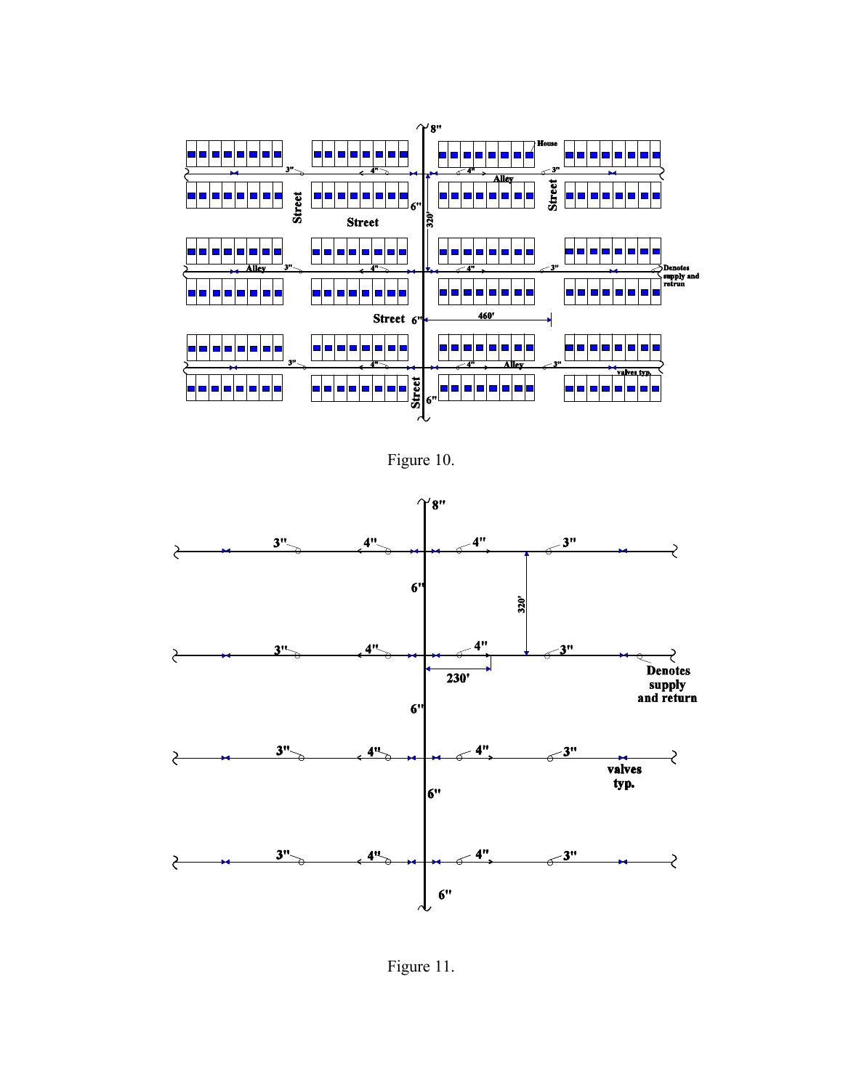

Figure 10.



Figure 11.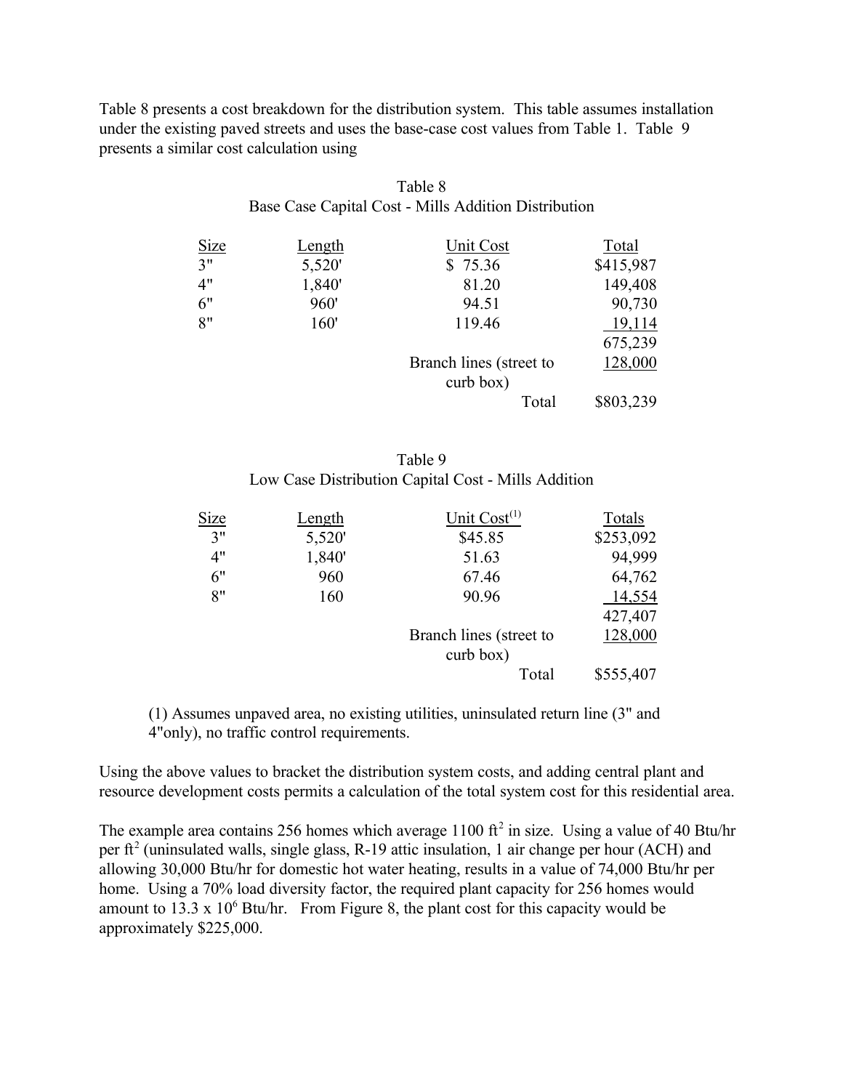Table 8 presents a cost breakdown for the distribution system. This table assumes installation under the existing paved streets and uses the base-case cost values from Table 1. Table 9 presents a similar cost calculation using

|            |        | Base Case Capital Cost - Millis Addition Distribution |           |
|------------|--------|-------------------------------------------------------|-----------|
|            | Length | Unit Cost                                             | Total     |
| Size<br>3" | 5,520' | \$75.36                                               | \$415,987 |
| 4"         | 1,840' | 81.20                                                 | 149,408   |
| 6"         | 960'   | 94.51                                                 | 90,730    |
| 8"         | 160'   | 119.46                                                | 19,114    |
|            |        |                                                       | 675,239   |
|            |        | Branch lines (street to                               | 128,000   |
|            |        | curb box)                                             |           |
|            |        | Total                                                 | \$803,239 |

#### Table 8 Base Case Capital Cost - Mills Addition Distribution

| Table 9                                             |
|-----------------------------------------------------|
| Low Case Distribution Capital Cost - Mills Addition |

| <u>Size</u> | <u>Length</u> | Unit $Cost(1)$          | Totals    |
|-------------|---------------|-------------------------|-----------|
| 3"          | 5,520'        | \$45.85                 | \$253,092 |
| 4"          | 1,840'        | 51.63                   | 94,999    |
| 6"          | 960           | 67.46                   | 64,762    |
| 8"          | 160           | 90.96                   | 14,554    |
|             |               |                         | 427,407   |
|             |               | Branch lines (street to | 128,000   |
|             |               | $curb$ box)             |           |
|             |               | Total                   | \$555,407 |

(1) Assumes unpaved area, no existing utilities, uninsulated return line (3" and 4"only), no traffic control requirements.

Using the above values to bracket the distribution system costs, and adding central plant and resource development costs permits a calculation of the total system cost for this residential area.

The example area contains 256 homes which average  $1100 \text{ ft}^2$  in size. Using a value of 40 Btu/hr per ft<sup>2</sup> (uninsulated walls, single glass, R-19 attic insulation, 1 air change per hour (ACH) and allowing 30,000 Btu/hr for domestic hot water heating, results in a value of 74,000 Btu/hr per home. Using a 70% load diversity factor, the required plant capacity for 256 homes would amount to 13.3 x  $10^6$  Btu/hr. From Figure 8, the plant cost for this capacity would be approximately \$225,000.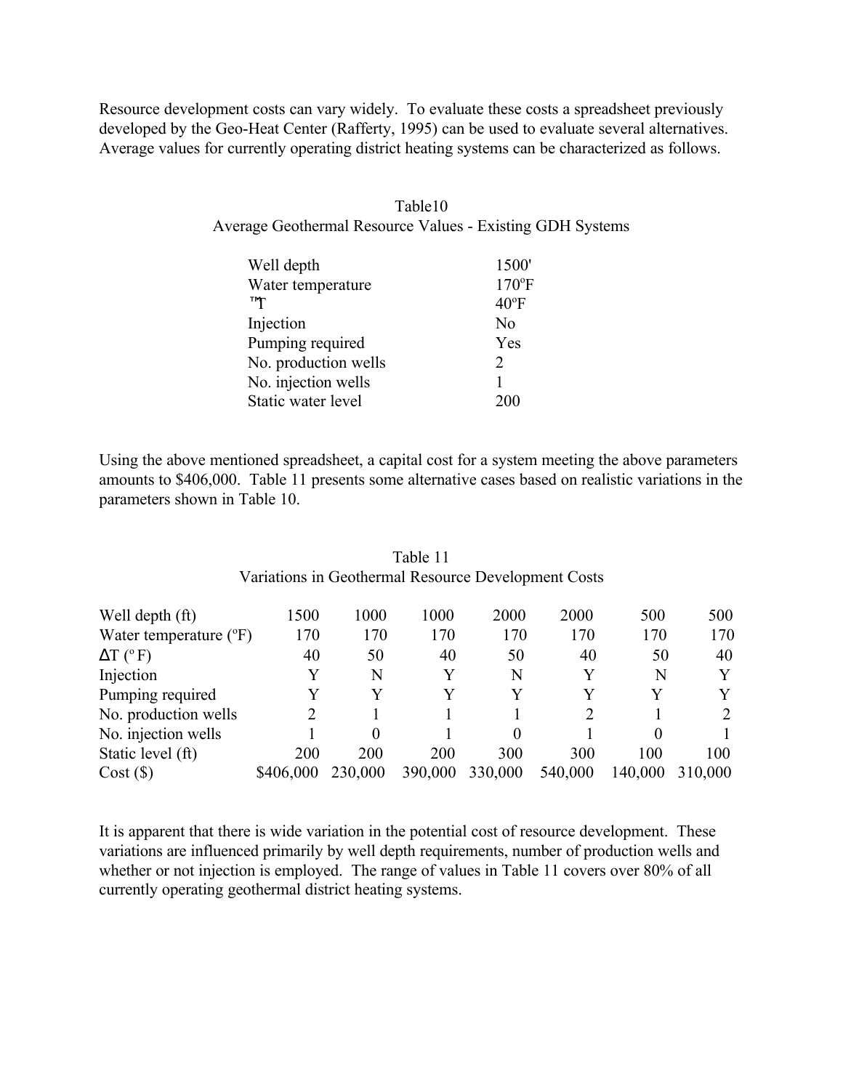Resource development costs can vary widely. To evaluate these costs a spreadsheet previously developed by the Geo-Heat Center (Rafferty, 1995) can be used to evaluate several alternatives. Average values for currently operating district heating systems can be characterized as follows.

| Table 10                                                         |
|------------------------------------------------------------------|
| <b>Average Geothermal Resource Values - Existing GDH Systems</b> |

| 1500'          |
|----------------|
| $170$ °F       |
| $40^{\circ}$ F |
| No             |
| Yes            |
| 2              |
|                |
| 200            |
|                |

Using the above mentioned spreadsheet, a capital cost for a system meeting the above parameters amounts to \$406,000. Table 11 presents some alternative cases based on realistic variations in the parameters shown in Table 10.

| Variations in Geothermal Resource Development Costs |           |         |         |         |         |          |         |
|-----------------------------------------------------|-----------|---------|---------|---------|---------|----------|---------|
| Well depth (ft)                                     | 1500      | 1000    | 1000    | 2000    | 2000    | 500      | 500     |
| Water temperature $(°F)$                            | 170       | 170     | 170     | 170     | 170     | 170      | 170     |
| $\Delta T$ (°F)                                     | 40        | 50      | 40      | 50      | 40      | 50       | 40      |
| Injection                                           | Y         | N       | Y       | N       | Y       | N        | Y       |
| Pumping required                                    |           | Y       | Y       | Y       | Y       | Y        | Y       |
| No. production wells                                |           |         |         |         | 2       |          | 2       |
| No. injection wells                                 |           | 0       |         |         |         | $\Omega$ |         |
| Static level (ft)                                   | 200       | 200     | 200     | 300     | 300     | 100      | 100     |
| Cost(S)                                             | \$406,000 | 230,000 | 390,000 | 330,000 | 540,000 | 140,000  | 310,000 |

Table 11

It is apparent that there is wide variation in the potential cost of resource development. These variations are influenced primarily by well depth requirements, number of production wells and whether or not injection is employed. The range of values in Table 11 covers over 80% of all currently operating geothermal district heating systems.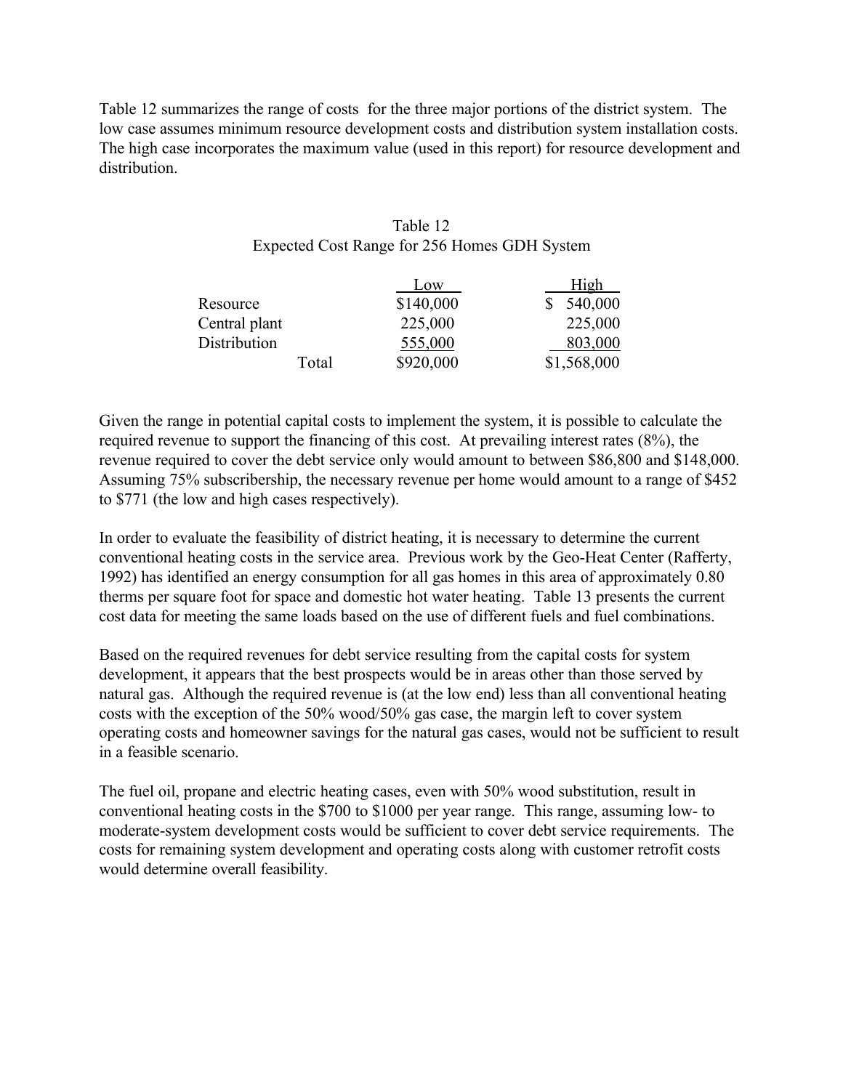Table 12 summarizes the range of costs for the three major portions of the district system. The low case assumes minimum resource development costs and distribution system installation costs. The high case incorporates the maximum value (used in this report) for resource development and distribution.

| Table 12                                     |
|----------------------------------------------|
| Expected Cost Range for 256 Homes GDH System |

|               | Low       | High        |
|---------------|-----------|-------------|
| Resource      | \$140,000 | 540,000     |
| Central plant | 225,000   | 225,000     |
| Distribution  | 555,000   | 803,000     |
| Total         | \$920,000 | \$1,568,000 |

Given the range in potential capital costs to implement the system, it is possible to calculate the required revenue to support the financing of this cost. At prevailing interest rates (8%), the revenue required to cover the debt service only would amount to between \$86,800 and \$148,000. Assuming 75% subscribership, the necessary revenue per home would amount to a range of \$452 to \$771 (the low and high cases respectively).

In order to evaluate the feasibility of district heating, it is necessary to determine the current conventional heating costs in the service area. Previous work by the Geo-Heat Center (Rafferty, 1992) has identified an energy consumption for all gas homes in this area of approximately 0.80 therms per square foot for space and domestic hot water heating. Table 13 presents the current cost data for meeting the same loads based on the use of different fuels and fuel combinations.

Based on the required revenues for debt service resulting from the capital costs for system development, it appears that the best prospects would be in areas other than those served by natural gas. Although the required revenue is (at the low end) less than all conventional heating costs with the exception of the 50% wood/50% gas case, the margin left to cover system operating costs and homeowner savings for the natural gas cases, would not be sufficient to result in a feasible scenario.

The fuel oil, propane and electric heating cases, even with 50% wood substitution, result in conventional heating costs in the \$700 to \$1000 per year range. This range, assuming low- to moderate-system development costs would be sufficient to cover debt service requirements. The costs for remaining system development and operating costs along with customer retrofit costs would determine overall feasibility.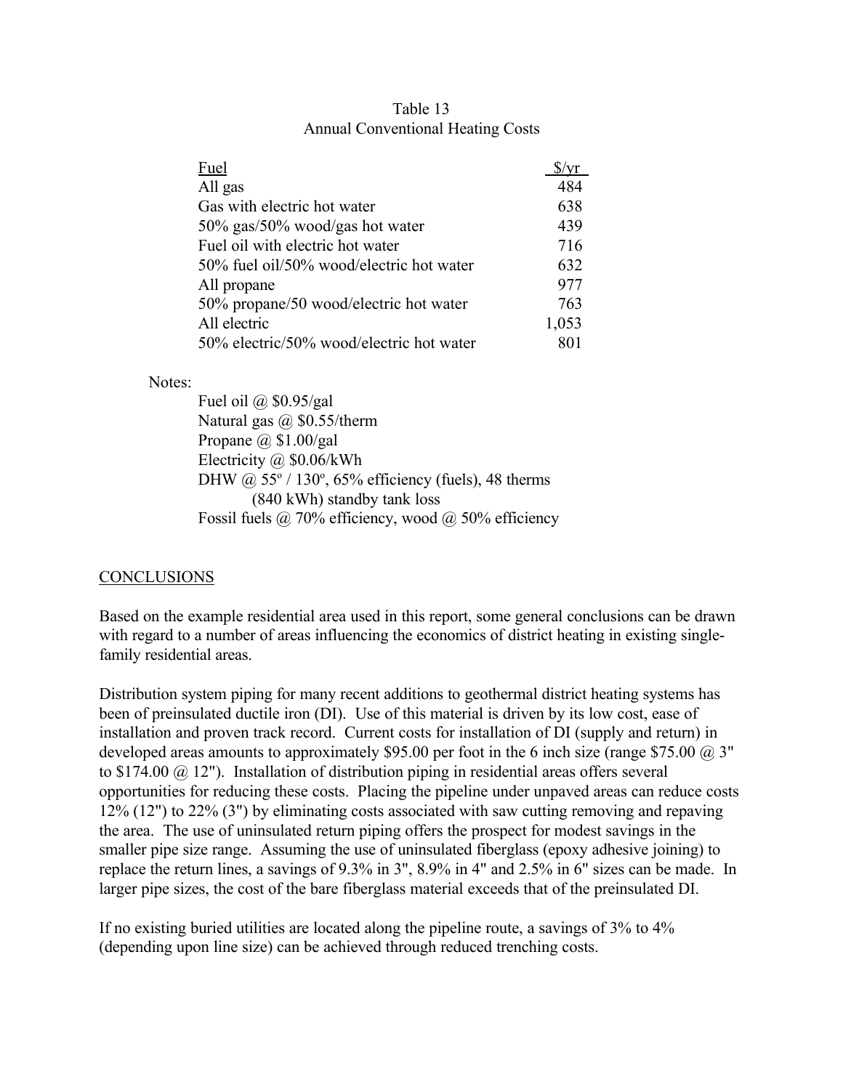| Fuel                                     | \$/vr |
|------------------------------------------|-------|
| All gas                                  | 484   |
| Gas with electric hot water              | 638   |
| $50\%$ gas/50% wood/gas hot water        | 439   |
| Fuel oil with electric hot water         | 716   |
| 50% fuel oil/50% wood/electric hot water | 632   |
| All propane                              | 977   |
| 50% propane/50 wood/electric hot water   | 763   |
| All electric                             | 1,053 |
| 50% electric/50% wood/electric hot water | 801   |

#### Table 13 Annual Conventional Heating Costs

Notes:

Fuel oil @ \$0.95/gal Natural gas  $\omega$  \$0.55/therm Propane  $\omega$  \$1.00/gal Electricity @ \$0.06/kWh DHW  $\omega$  55° / 130°, 65% efficiency (fuels), 48 therms (840 kWh) standby tank loss Fossil fuels  $\omega$  70% efficiency, wood  $\omega$  50% efficiency

# **CONCLUSIONS**

Based on the example residential area used in this report, some general conclusions can be drawn with regard to a number of areas influencing the economics of district heating in existing singlefamily residential areas.

Distribution system piping for many recent additions to geothermal district heating systems has been of preinsulated ductile iron (DI). Use of this material is driven by its low cost, ease of installation and proven track record. Current costs for installation of DI (supply and return) in developed areas amounts to approximately \$95.00 per foot in the 6 inch size (range \$75.00  $\omega$ ). 3" to \$174.00 @ 12"). Installation of distribution piping in residential areas offers several opportunities for reducing these costs. Placing the pipeline under unpaved areas can reduce costs 12% (12") to 22% (3") by eliminating costs associated with saw cutting removing and repaving the area. The use of uninsulated return piping offers the prospect for modest savings in the smaller pipe size range. Assuming the use of uninsulated fiberglass (epoxy adhesive joining) to replace the return lines, a savings of 9.3% in 3", 8.9% in 4" and 2.5% in 6" sizes can be made. In larger pipe sizes, the cost of the bare fiberglass material exceeds that of the preinsulated DI.

If no existing buried utilities are located along the pipeline route, a savings of 3% to 4% (depending upon line size) can be achieved through reduced trenching costs.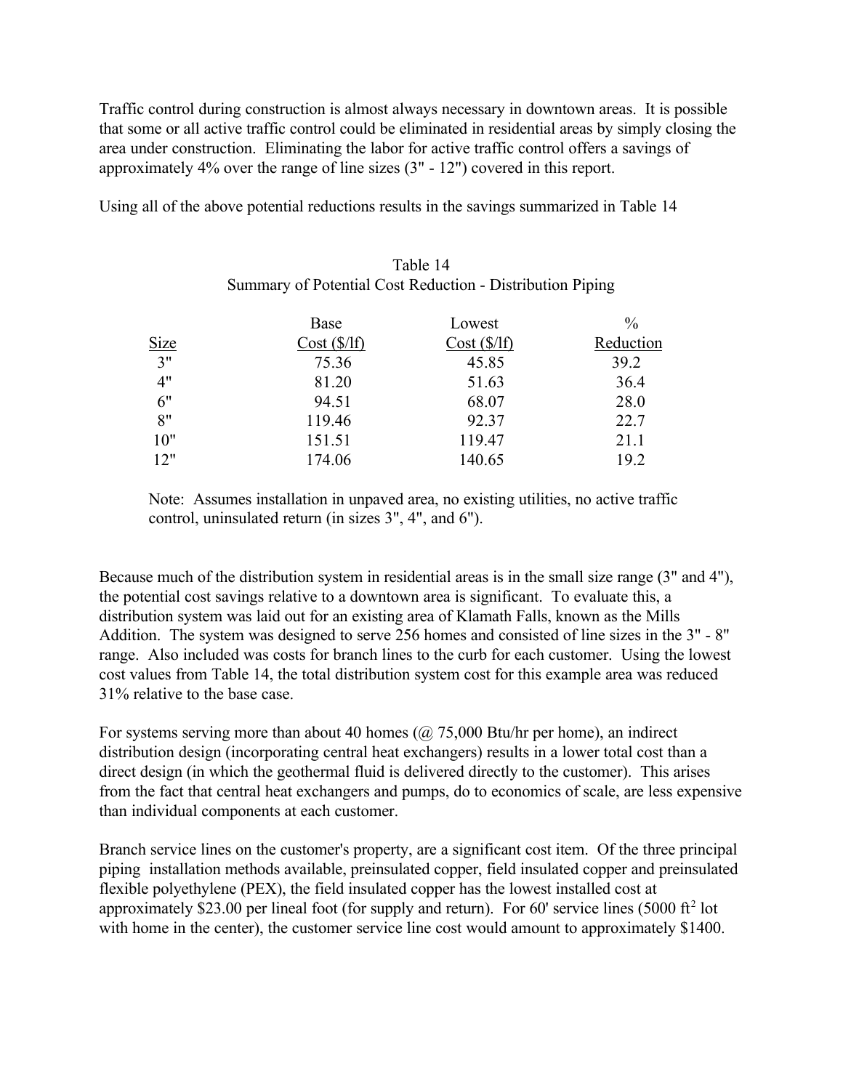Traffic control during construction is almost always necessary in downtown areas. It is possible that some or all active traffic control could be eliminated in residential areas by simply closing the area under construction. Eliminating the labor for active traffic control offers a savings of approximately 4% over the range of line sizes (3" - 12") covered in this report.

Using all of the above potential reductions results in the savings summarized in Table 14

# Table 14 Summary of Potential Cost Reduction - Distribution Piping

|             | Base       | Lowest     | $\frac{0}{0}$ |
|-------------|------------|------------|---------------|
| <b>Size</b> | Cost(S/If) | Cost(S/If) | Reduction     |
| 3"          | 75.36      | 45.85      | 39.2          |
| 4"          | 81.20      | 51.63      | 36.4          |
| 6"          | 94.51      | 68.07      | 28.0          |
| 8"          | 119.46     | 92.37      | 22.7          |
| 10"         | 151.51     | 119.47     | 21.1          |
| 12"         | 174.06     | 140.65     | 19.2          |

Note: Assumes installation in unpaved area, no existing utilities, no active traffic control, uninsulated return (in sizes 3", 4", and 6").

Because much of the distribution system in residential areas is in the small size range (3" and 4"), the potential cost savings relative to a downtown area is significant. To evaluate this, a distribution system was laid out for an existing area of Klamath Falls, known as the Mills Addition. The system was designed to serve 256 homes and consisted of line sizes in the 3" - 8" range. Also included was costs for branch lines to the curb for each customer. Using the lowest cost values from Table 14, the total distribution system cost for this example area was reduced 31% relative to the base case.

For systems serving more than about 40 homes ( $\omega$  75,000 Btu/hr per home), an indirect distribution design (incorporating central heat exchangers) results in a lower total cost than a direct design (in which the geothermal fluid is delivered directly to the customer). This arises from the fact that central heat exchangers and pumps, do to economics of scale, are less expensive than individual components at each customer.

Branch service lines on the customer's property, are a significant cost item. Of the three principal piping installation methods available, preinsulated copper, field insulated copper and preinsulated flexible polyethylene (PEX), the field insulated copper has the lowest installed cost at approximately \$23.00 per lineal foot (for supply and return). For 60' service lines (5000 ft<sup>2</sup> lot with home in the center), the customer service line cost would amount to approximately \$1400.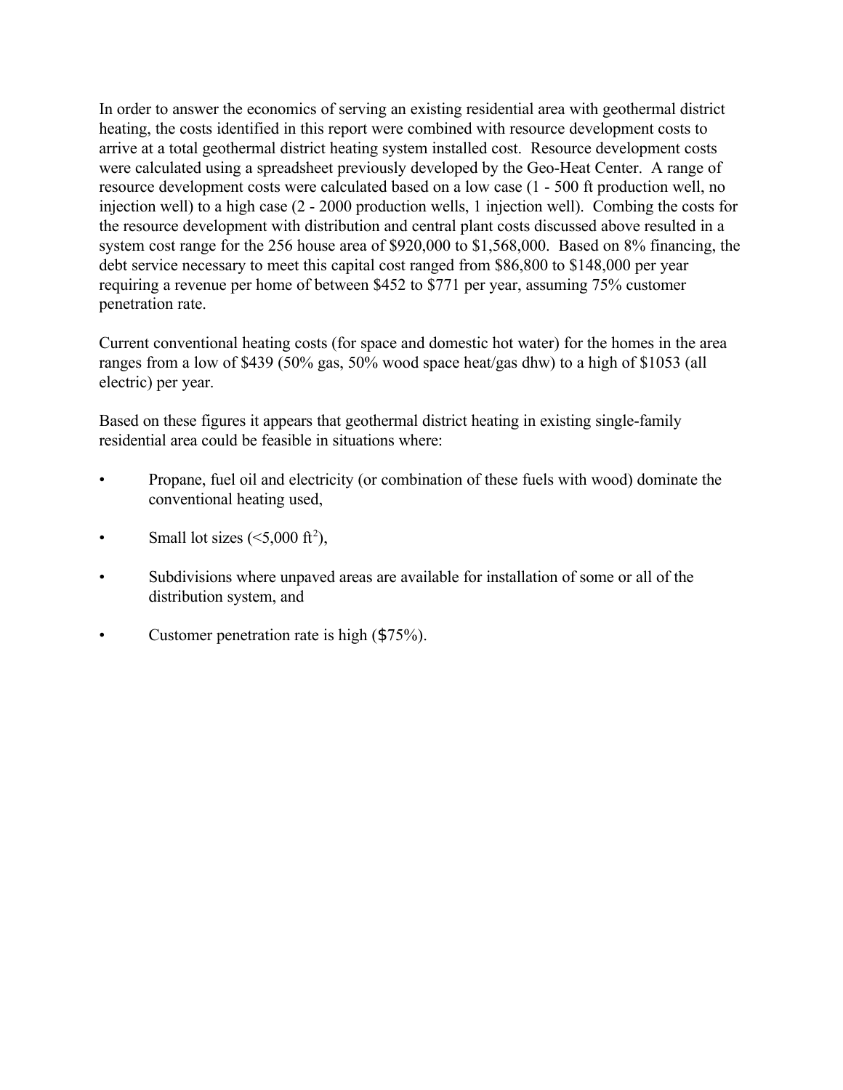In order to answer the economics of serving an existing residential area with geothermal district heating, the costs identified in this report were combined with resource development costs to arrive at a total geothermal district heating system installed cost. Resource development costs were calculated using a spreadsheet previously developed by the Geo-Heat Center. A range of resource development costs were calculated based on a low case (1 - 500 ft production well, no injection well) to a high case (2 - 2000 production wells, 1 injection well). Combing the costs for the resource development with distribution and central plant costs discussed above resulted in a system cost range for the 256 house area of \$920,000 to \$1,568,000. Based on 8% financing, the debt service necessary to meet this capital cost ranged from \$86,800 to \$148,000 per year requiring a revenue per home of between \$452 to \$771 per year, assuming 75% customer penetration rate.

Current conventional heating costs (for space and domestic hot water) for the homes in the area ranges from a low of \$439 (50% gas, 50% wood space heat/gas dhw) to a high of \$1053 (all electric) per year.

Based on these figures it appears that geothermal district heating in existing single-family residential area could be feasible in situations where:

- Propane, fuel oil and electricity (or combination of these fuels with wood) dominate the conventional heating used,
- Small lot sizes  $(<5,000 \text{ ft}^2)$ ,
- Subdivisions where unpaved areas are available for installation of some or all of the distribution system, and
- Customer penetration rate is high (\$75%).